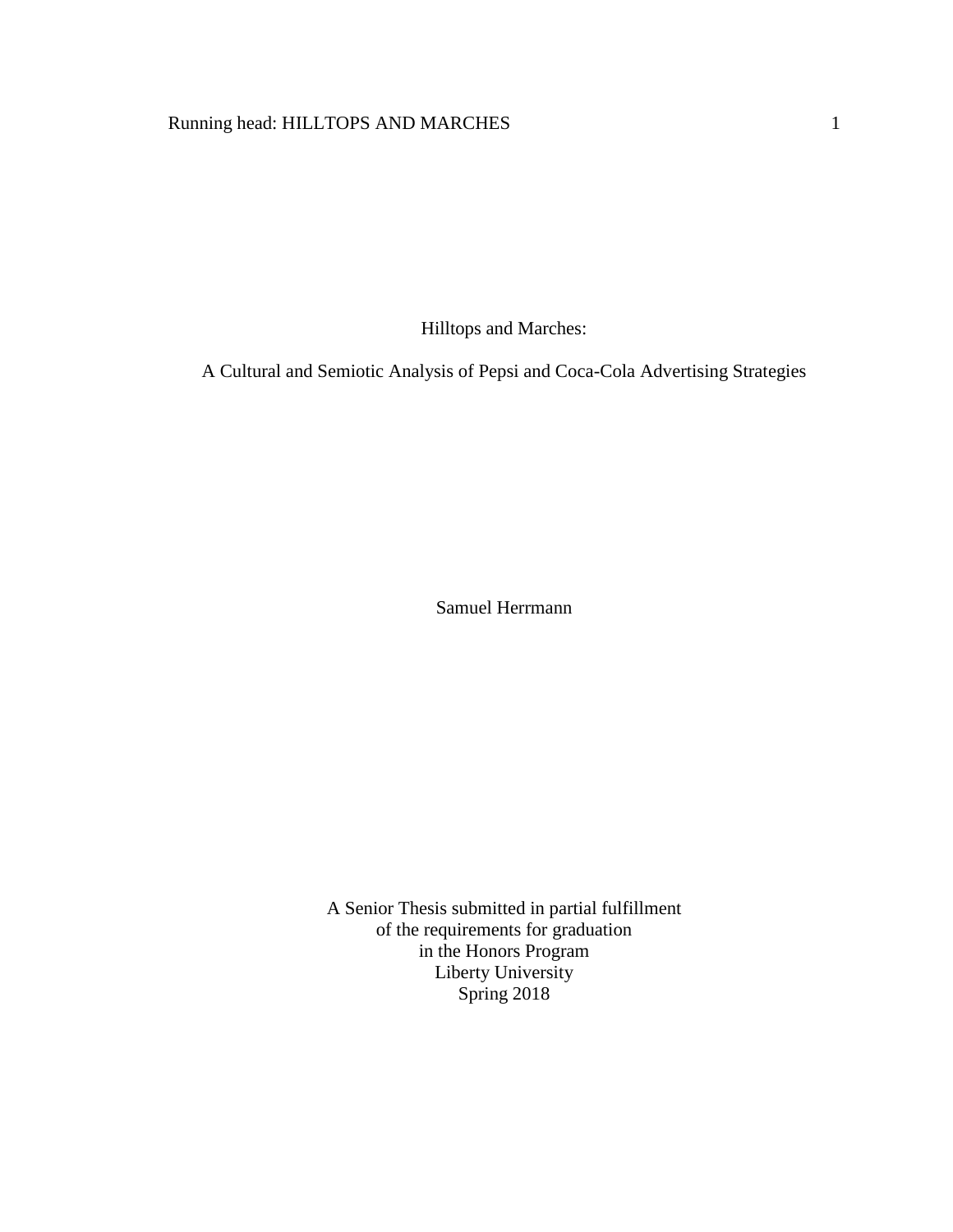# Running head: HILLTOPS AND MARCHES 1

Hilltops and Marches:

A Cultural and Semiotic Analysis of Pepsi and Coca-Cola Advertising Strategies

Samuel Herrmann

A Senior Thesis submitted in partial fulfillment of the requirements for graduation in the Honors Program Liberty University Spring 2018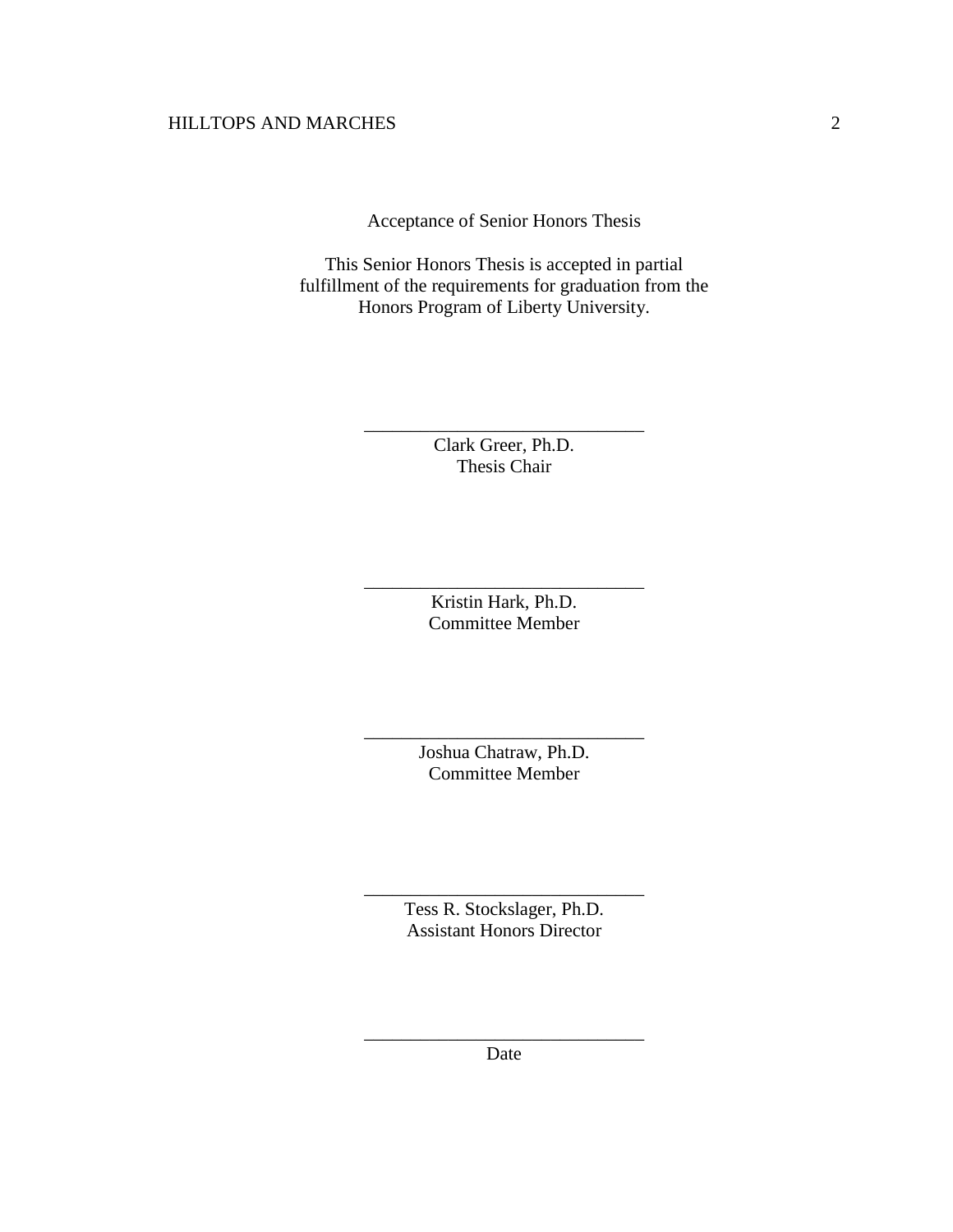Acceptance of Senior Honors Thesis

This Senior Honors Thesis is accepted in partial fulfillment of the requirements for graduation from the Honors Program of Liberty University.

> Clark Greer, Ph.D. Thesis Chair

\_\_\_\_\_\_\_\_\_\_\_\_\_\_\_\_\_\_\_\_\_\_\_\_\_\_\_\_\_\_

Kristin Hark, Ph.D. Committee Member

\_\_\_\_\_\_\_\_\_\_\_\_\_\_\_\_\_\_\_\_\_\_\_\_\_\_\_\_\_\_

Joshua Chatraw, Ph.D. Committee Member

\_\_\_\_\_\_\_\_\_\_\_\_\_\_\_\_\_\_\_\_\_\_\_\_\_\_\_\_\_\_

Tess R. Stockslager, Ph.D. Assistant Honors Director

\_\_\_\_\_\_\_\_\_\_\_\_\_\_\_\_\_\_\_\_\_\_\_\_\_\_\_\_\_\_

\_\_\_\_\_\_\_\_\_\_\_\_\_\_\_\_\_\_\_\_\_\_\_\_\_\_\_\_\_\_ Date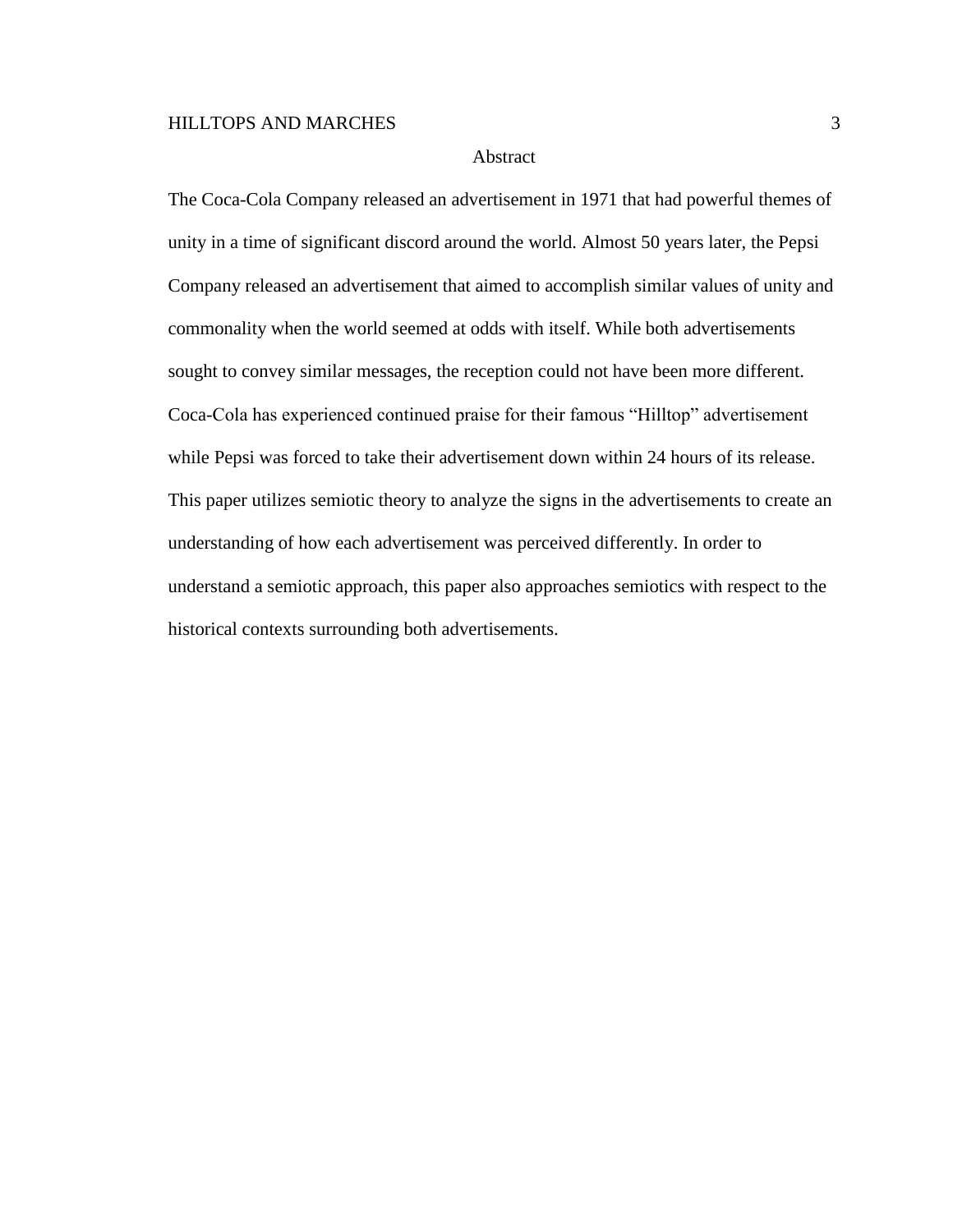## Abstract

The Coca-Cola Company released an advertisement in 1971 that had powerful themes of unity in a time of significant discord around the world. Almost 50 years later, the Pepsi Company released an advertisement that aimed to accomplish similar values of unity and commonality when the world seemed at odds with itself. While both advertisements sought to convey similar messages, the reception could not have been more different. Coca-Cola has experienced continued praise for their famous "Hilltop" advertisement while Pepsi was forced to take their advertisement down within 24 hours of its release. This paper utilizes semiotic theory to analyze the signs in the advertisements to create an understanding of how each advertisement was perceived differently. In order to understand a semiotic approach, this paper also approaches semiotics with respect to the historical contexts surrounding both advertisements.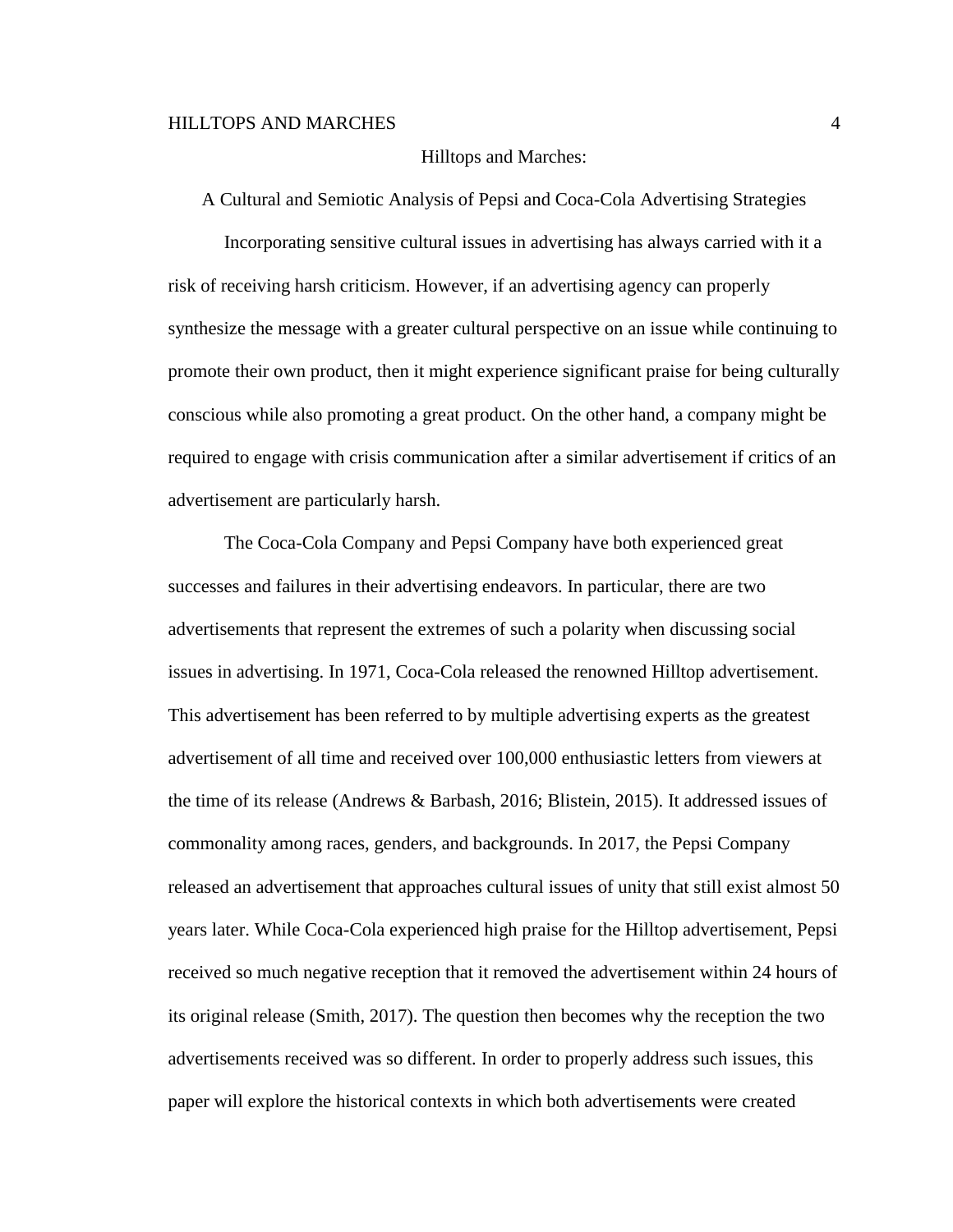## Hilltops and Marches:

A Cultural and Semiotic Analysis of Pepsi and Coca-Cola Advertising Strategies

Incorporating sensitive cultural issues in advertising has always carried with it a risk of receiving harsh criticism. However, if an advertising agency can properly synthesize the message with a greater cultural perspective on an issue while continuing to promote their own product, then it might experience significant praise for being culturally conscious while also promoting a great product. On the other hand, a company might be required to engage with crisis communication after a similar advertisement if critics of an advertisement are particularly harsh.

The Coca-Cola Company and Pepsi Company have both experienced great successes and failures in their advertising endeavors. In particular, there are two advertisements that represent the extremes of such a polarity when discussing social issues in advertising. In 1971, Coca-Cola released the renowned Hilltop advertisement. This advertisement has been referred to by multiple advertising experts as the greatest advertisement of all time and received over 100,000 enthusiastic letters from viewers at the time of its release (Andrews & Barbash, 2016; Blistein, 2015). It addressed issues of commonality among races, genders, and backgrounds. In 2017, the Pepsi Company released an advertisement that approaches cultural issues of unity that still exist almost 50 years later. While Coca-Cola experienced high praise for the Hilltop advertisement, Pepsi received so much negative reception that it removed the advertisement within 24 hours of its original release (Smith, 2017). The question then becomes why the reception the two advertisements received was so different. In order to properly address such issues, this paper will explore the historical contexts in which both advertisements were created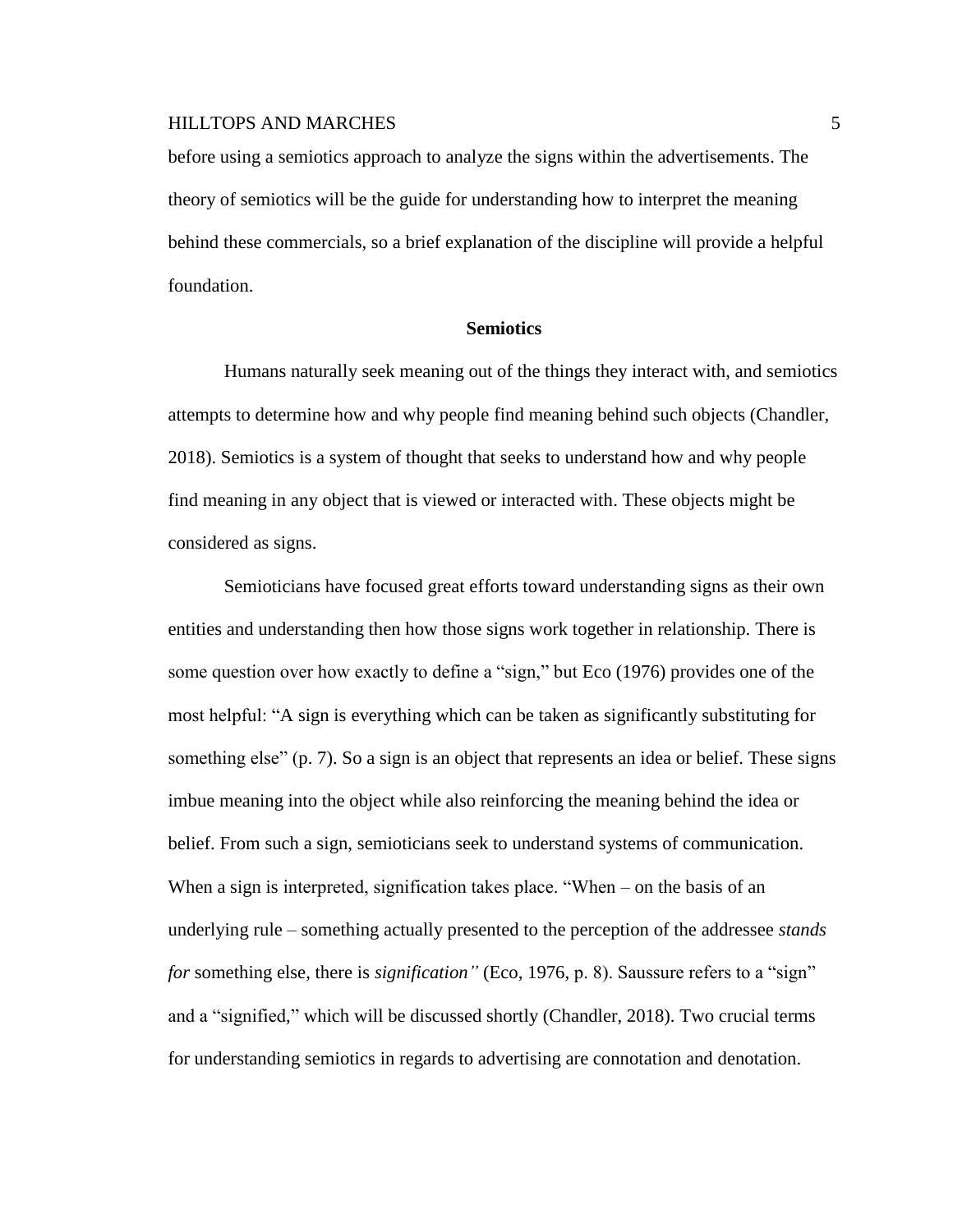before using a semiotics approach to analyze the signs within the advertisements. The theory of semiotics will be the guide for understanding how to interpret the meaning behind these commercials, so a brief explanation of the discipline will provide a helpful foundation.

#### **Semiotics**

Humans naturally seek meaning out of the things they interact with, and semiotics attempts to determine how and why people find meaning behind such objects (Chandler, 2018). Semiotics is a system of thought that seeks to understand how and why people find meaning in any object that is viewed or interacted with. These objects might be considered as signs.

Semioticians have focused great efforts toward understanding signs as their own entities and understanding then how those signs work together in relationship. There is some question over how exactly to define a "sign," but Eco (1976) provides one of the most helpful: "A sign is everything which can be taken as significantly substituting for something else" (p. 7). So a sign is an object that represents an idea or belief. These signs imbue meaning into the object while also reinforcing the meaning behind the idea or belief. From such a sign, semioticians seek to understand systems of communication. When a sign is interpreted, signification takes place. "When – on the basis of an underlying rule – something actually presented to the perception of the addressee *stands for* something else, there is *signification*" (Eco, 1976, p. 8). Saussure refers to a "sign" and a "signified," which will be discussed shortly (Chandler, 2018). Two crucial terms for understanding semiotics in regards to advertising are connotation and denotation.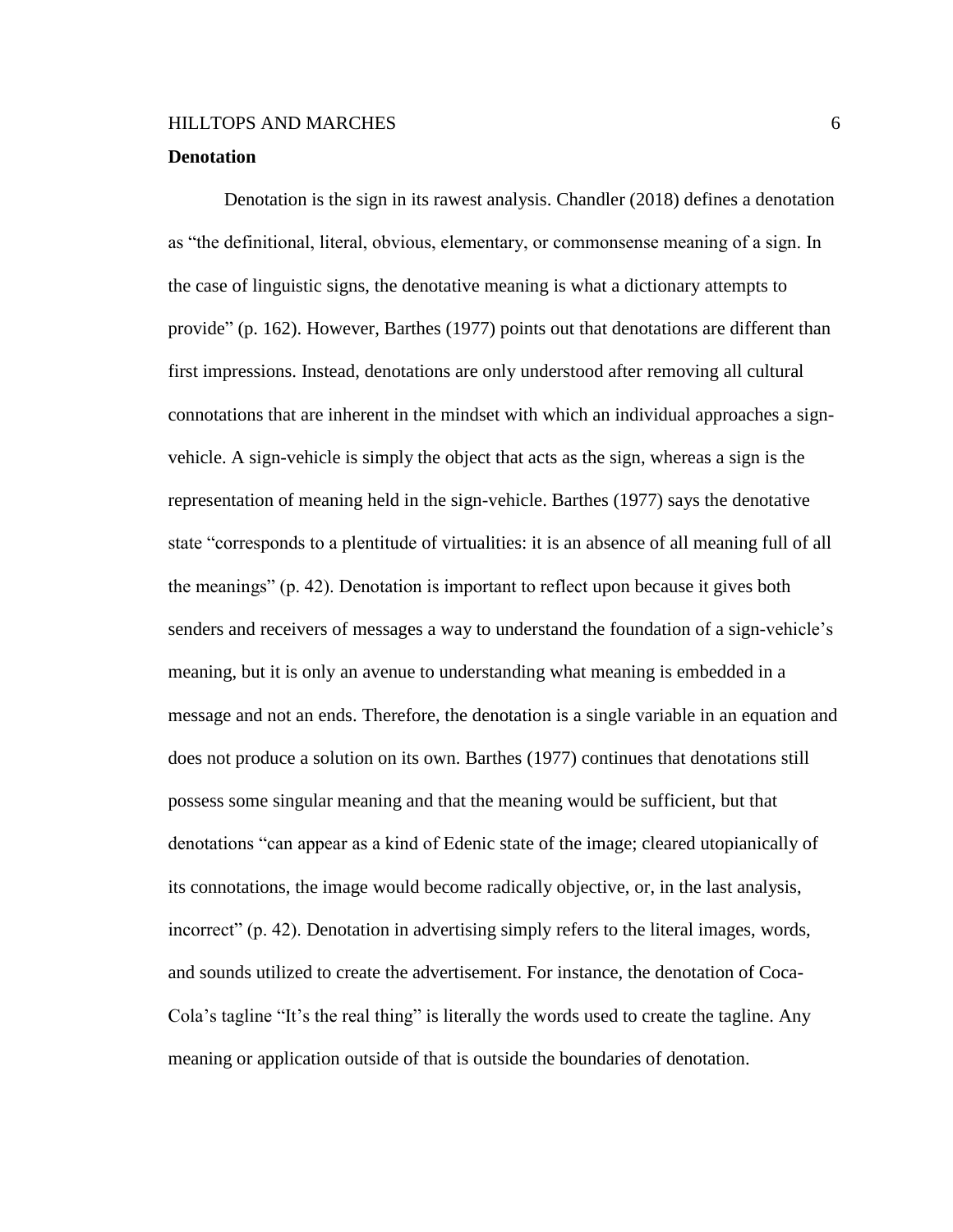# **Denotation**

Denotation is the sign in its rawest analysis. Chandler (2018) defines a denotation as "the definitional, literal, obvious, elementary, or commonsense meaning of a sign. In the case of linguistic signs, the denotative meaning is what a dictionary attempts to provide" (p. 162). However, Barthes (1977) points out that denotations are different than first impressions. Instead, denotations are only understood after removing all cultural connotations that are inherent in the mindset with which an individual approaches a signvehicle. A sign-vehicle is simply the object that acts as the sign, whereas a sign is the representation of meaning held in the sign-vehicle. Barthes (1977) says the denotative state "corresponds to a plentitude of virtualities: it is an absence of all meaning full of all the meanings" (p. 42). Denotation is important to reflect upon because it gives both senders and receivers of messages a way to understand the foundation of a sign-vehicle's meaning, but it is only an avenue to understanding what meaning is embedded in a message and not an ends. Therefore, the denotation is a single variable in an equation and does not produce a solution on its own. Barthes (1977) continues that denotations still possess some singular meaning and that the meaning would be sufficient, but that denotations "can appear as a kind of Edenic state of the image; cleared utopianically of its connotations, the image would become radically objective, or, in the last analysis, incorrect" (p. 42). Denotation in advertising simply refers to the literal images, words, and sounds utilized to create the advertisement. For instance, the denotation of Coca-Cola's tagline "It's the real thing" is literally the words used to create the tagline. Any meaning or application outside of that is outside the boundaries of denotation.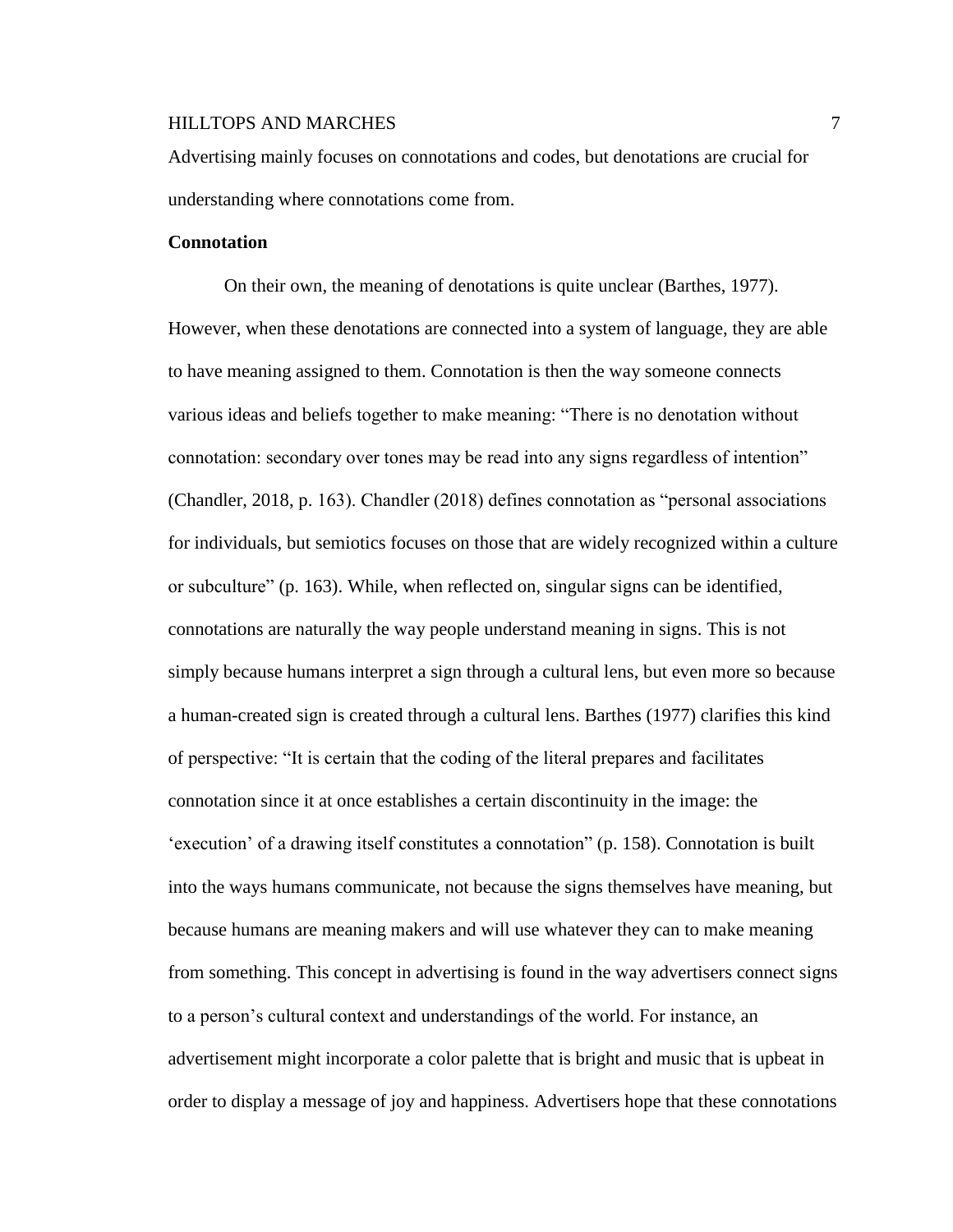Advertising mainly focuses on connotations and codes, but denotations are crucial for understanding where connotations come from.

## **Connotation**

On their own, the meaning of denotations is quite unclear (Barthes, 1977). However, when these denotations are connected into a system of language, they are able to have meaning assigned to them. Connotation is then the way someone connects various ideas and beliefs together to make meaning: "There is no denotation without connotation: secondary over tones may be read into any signs regardless of intention" (Chandler, 2018, p. 163). Chandler (2018) defines connotation as "personal associations for individuals, but semiotics focuses on those that are widely recognized within a culture or subculture" (p. 163). While, when reflected on, singular signs can be identified, connotations are naturally the way people understand meaning in signs. This is not simply because humans interpret a sign through a cultural lens, but even more so because a human-created sign is created through a cultural lens. Barthes (1977) clarifies this kind of perspective: "It is certain that the coding of the literal prepares and facilitates connotation since it at once establishes a certain discontinuity in the image: the 'execution' of a drawing itself constitutes a connotation" (p. 158). Connotation is built into the ways humans communicate, not because the signs themselves have meaning, but because humans are meaning makers and will use whatever they can to make meaning from something. This concept in advertising is found in the way advertisers connect signs to a person's cultural context and understandings of the world. For instance, an advertisement might incorporate a color palette that is bright and music that is upbeat in order to display a message of joy and happiness. Advertisers hope that these connotations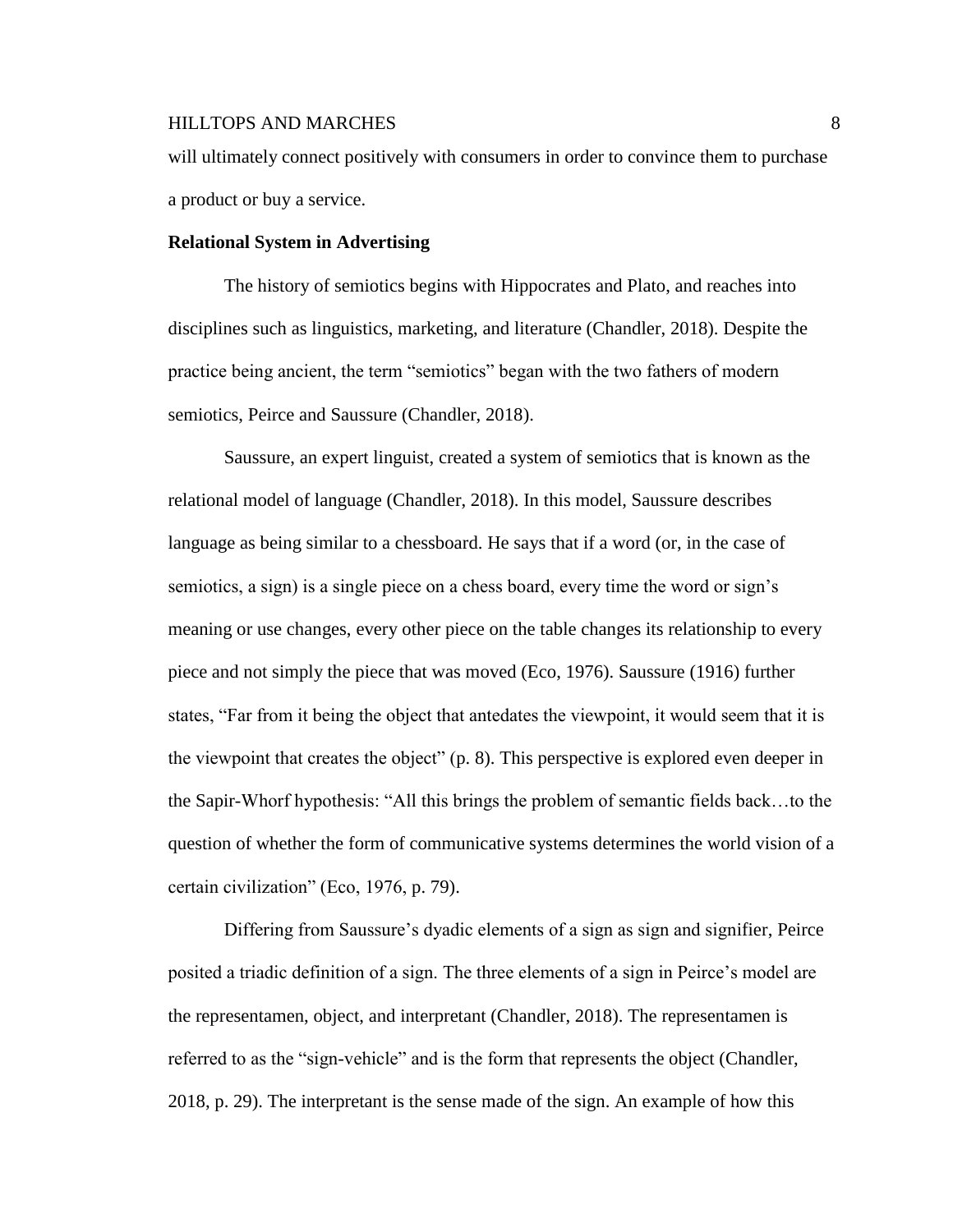will ultimately connect positively with consumers in order to convince them to purchase a product or buy a service.

#### **Relational System in Advertising**

The history of semiotics begins with Hippocrates and Plato, and reaches into disciplines such as linguistics, marketing, and literature (Chandler, 2018). Despite the practice being ancient, the term "semiotics" began with the two fathers of modern semiotics, Peirce and Saussure (Chandler, 2018).

Saussure, an expert linguist, created a system of semiotics that is known as the relational model of language (Chandler, 2018). In this model, Saussure describes language as being similar to a chessboard. He says that if a word (or, in the case of semiotics, a sign) is a single piece on a chess board, every time the word or sign's meaning or use changes, every other piece on the table changes its relationship to every piece and not simply the piece that was moved (Eco, 1976). Saussure (1916) further states, "Far from it being the object that antedates the viewpoint, it would seem that it is the viewpoint that creates the object" (p. 8). This perspective is explored even deeper in the Sapir-Whorf hypothesis: "All this brings the problem of semantic fields back…to the question of whether the form of communicative systems determines the world vision of a certain civilization" (Eco, 1976, p. 79).

Differing from Saussure's dyadic elements of a sign as sign and signifier, Peirce posited a triadic definition of a sign. The three elements of a sign in Peirce's model are the representamen, object, and interpretant (Chandler, 2018). The representamen is referred to as the "sign-vehicle" and is the form that represents the object (Chandler, 2018, p. 29). The interpretant is the sense made of the sign. An example of how this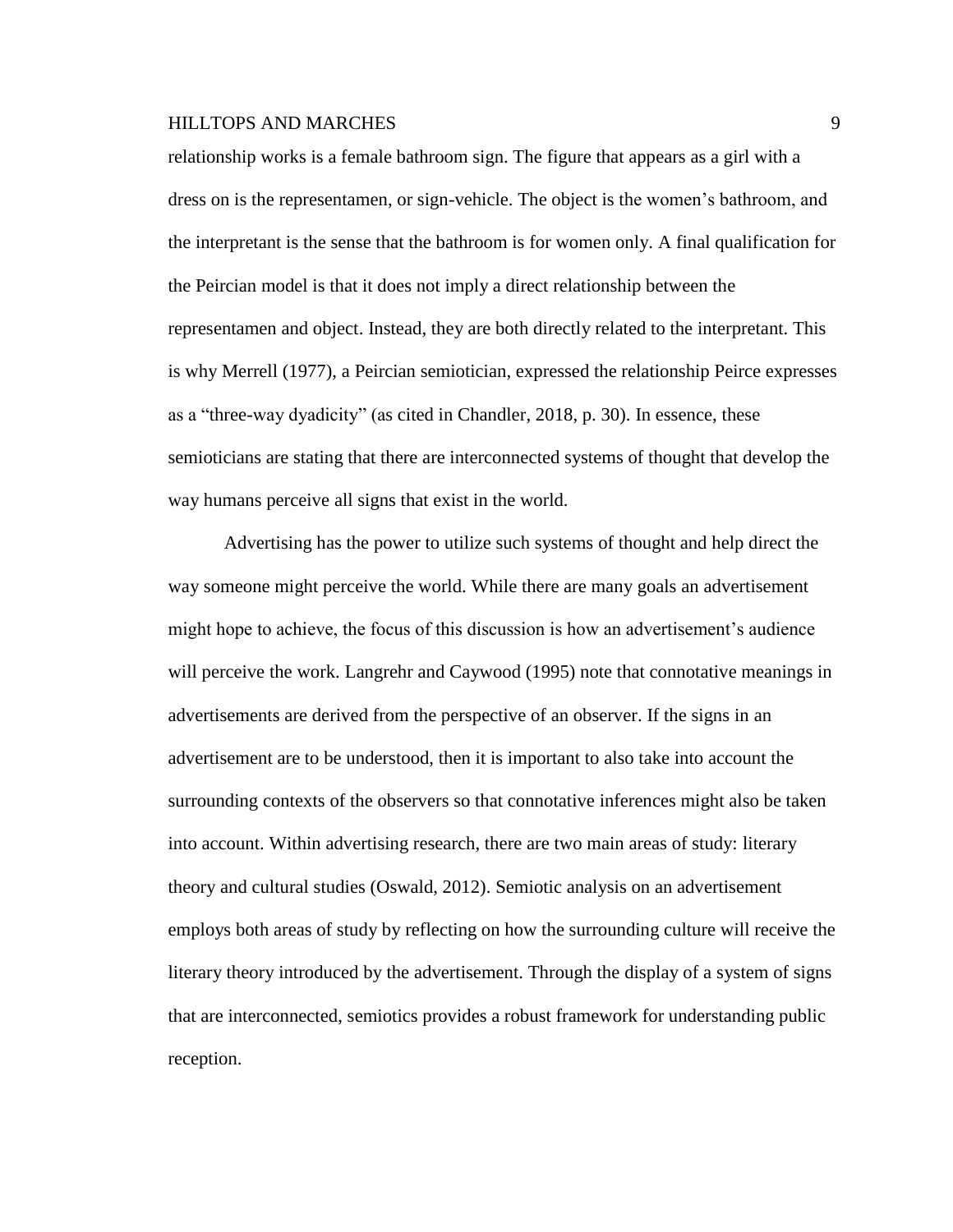relationship works is a female bathroom sign. The figure that appears as a girl with a dress on is the representamen, or sign-vehicle. The object is the women's bathroom, and the interpretant is the sense that the bathroom is for women only. A final qualification for the Peircian model is that it does not imply a direct relationship between the representamen and object. Instead, they are both directly related to the interpretant. This is why Merrell (1977), a Peircian semiotician, expressed the relationship Peirce expresses as a "three-way dyadicity" (as cited in Chandler, 2018, p. 30). In essence, these semioticians are stating that there are interconnected systems of thought that develop the way humans perceive all signs that exist in the world.

Advertising has the power to utilize such systems of thought and help direct the way someone might perceive the world. While there are many goals an advertisement might hope to achieve, the focus of this discussion is how an advertisement's audience will perceive the work. Langrehr and Caywood (1995) note that connotative meanings in advertisements are derived from the perspective of an observer. If the signs in an advertisement are to be understood, then it is important to also take into account the surrounding contexts of the observers so that connotative inferences might also be taken into account. Within advertising research, there are two main areas of study: literary theory and cultural studies (Oswald, 2012). Semiotic analysis on an advertisement employs both areas of study by reflecting on how the surrounding culture will receive the literary theory introduced by the advertisement. Through the display of a system of signs that are interconnected, semiotics provides a robust framework for understanding public reception.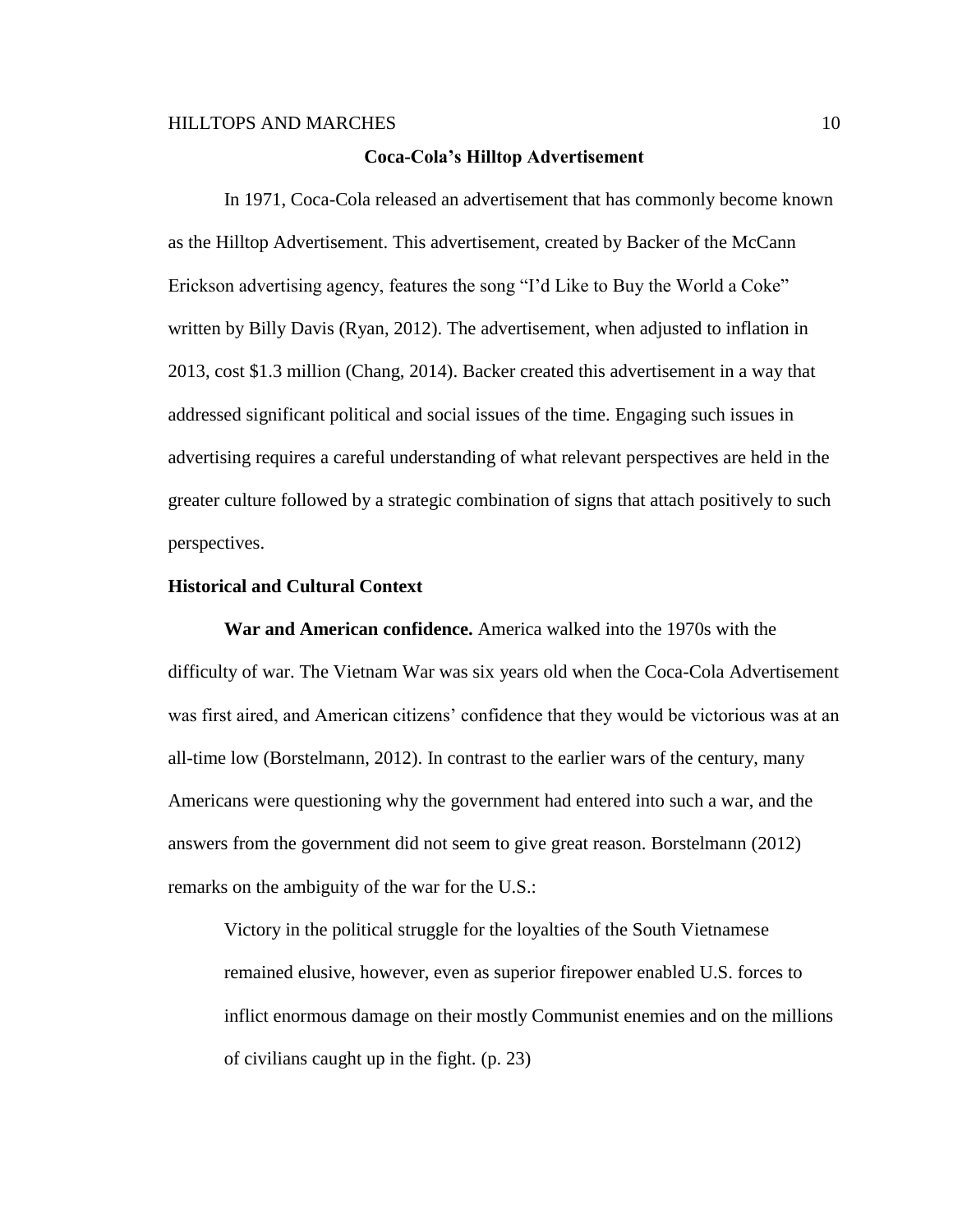#### **Coca-Cola's Hilltop Advertisement**

In 1971, Coca-Cola released an advertisement that has commonly become known as the Hilltop Advertisement. This advertisement, created by Backer of the McCann Erickson advertising agency, features the song "I'd Like to Buy the World a Coke" written by Billy Davis (Ryan, 2012). The advertisement, when adjusted to inflation in 2013, cost \$1.3 million (Chang, 2014). Backer created this advertisement in a way that addressed significant political and social issues of the time. Engaging such issues in advertising requires a careful understanding of what relevant perspectives are held in the greater culture followed by a strategic combination of signs that attach positively to such perspectives.

# **Historical and Cultural Context**

**War and American confidence.** America walked into the 1970s with the difficulty of war. The Vietnam War was six years old when the Coca-Cola Advertisement was first aired, and American citizens' confidence that they would be victorious was at an all-time low (Borstelmann, 2012). In contrast to the earlier wars of the century, many Americans were questioning why the government had entered into such a war, and the answers from the government did not seem to give great reason. Borstelmann (2012) remarks on the ambiguity of the war for the U.S.:

Victory in the political struggle for the loyalties of the South Vietnamese remained elusive, however, even as superior firepower enabled U.S. forces to inflict enormous damage on their mostly Communist enemies and on the millions of civilians caught up in the fight. (p. 23)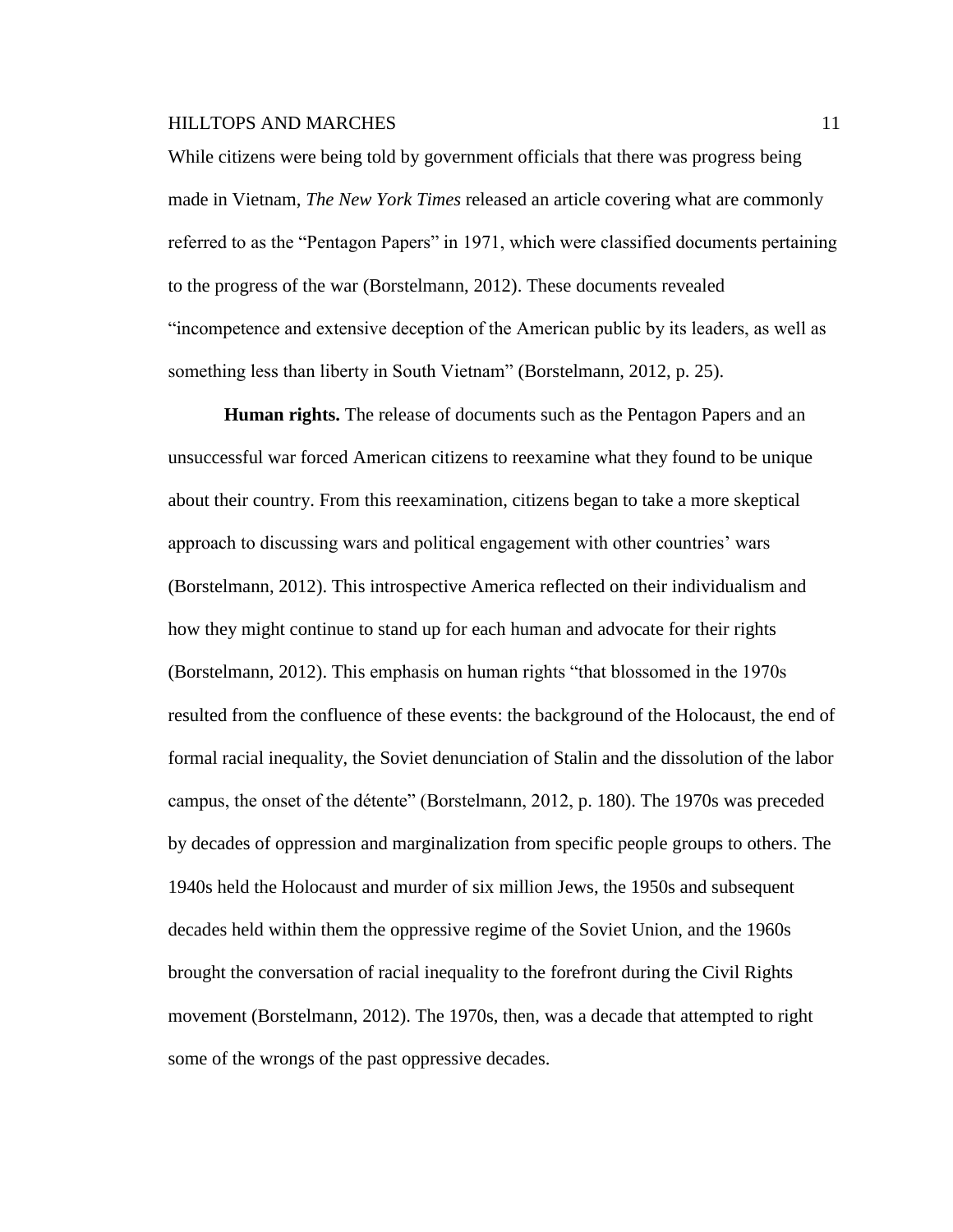While citizens were being told by government officials that there was progress being made in Vietnam, *The New York Times* released an article covering what are commonly referred to as the "Pentagon Papers" in 1971, which were classified documents pertaining to the progress of the war (Borstelmann, 2012). These documents revealed "incompetence and extensive deception of the American public by its leaders, as well as something less than liberty in South Vietnam" (Borstelmann, 2012, p. 25).

**Human rights.** The release of documents such as the Pentagon Papers and an unsuccessful war forced American citizens to reexamine what they found to be unique about their country. From this reexamination, citizens began to take a more skeptical approach to discussing wars and political engagement with other countries' wars (Borstelmann, 2012). This introspective America reflected on their individualism and how they might continue to stand up for each human and advocate for their rights (Borstelmann, 2012). This emphasis on human rights "that blossomed in the 1970s resulted from the confluence of these events: the background of the Holocaust, the end of formal racial inequality, the Soviet denunciation of Stalin and the dissolution of the labor campus, the onset of the détente" (Borstelmann, 2012, p. 180). The 1970s was preceded by decades of oppression and marginalization from specific people groups to others. The 1940s held the Holocaust and murder of six million Jews, the 1950s and subsequent decades held within them the oppressive regime of the Soviet Union, and the 1960s brought the conversation of racial inequality to the forefront during the Civil Rights movement (Borstelmann, 2012). The 1970s, then, was a decade that attempted to right some of the wrongs of the past oppressive decades.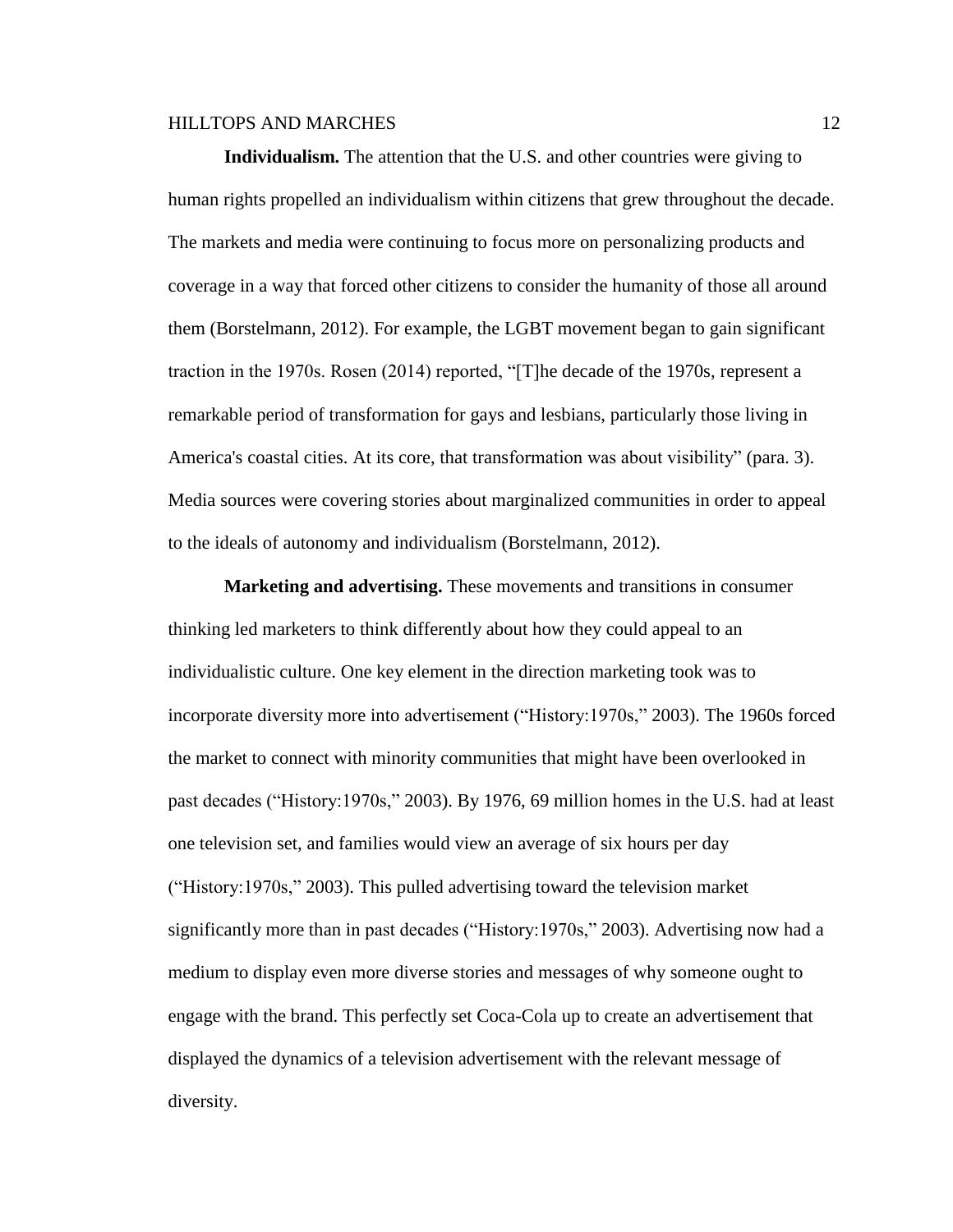**Individualism.** The attention that the U.S. and other countries were giving to human rights propelled an individualism within citizens that grew throughout the decade. The markets and media were continuing to focus more on personalizing products and coverage in a way that forced other citizens to consider the humanity of those all around them (Borstelmann, 2012). For example, the LGBT movement began to gain significant traction in the 1970s. Rosen (2014) reported, "[T]he decade of the 1970s, represent a remarkable period of transformation for gays and lesbians, particularly those living in America's coastal cities. At its core, that transformation was about visibility" (para. 3). Media sources were covering stories about marginalized communities in order to appeal to the ideals of autonomy and individualism (Borstelmann, 2012).

**Marketing and advertising.** These movements and transitions in consumer thinking led marketers to think differently about how they could appeal to an individualistic culture. One key element in the direction marketing took was to incorporate diversity more into advertisement ("History:1970s," 2003). The 1960s forced the market to connect with minority communities that might have been overlooked in past decades ("History:1970s," 2003). By 1976, 69 million homes in the U.S. had at least one television set, and families would view an average of six hours per day ("History:1970s," 2003). This pulled advertising toward the television market significantly more than in past decades ("History:1970s," 2003). Advertising now had a medium to display even more diverse stories and messages of why someone ought to engage with the brand. This perfectly set Coca-Cola up to create an advertisement that displayed the dynamics of a television advertisement with the relevant message of diversity.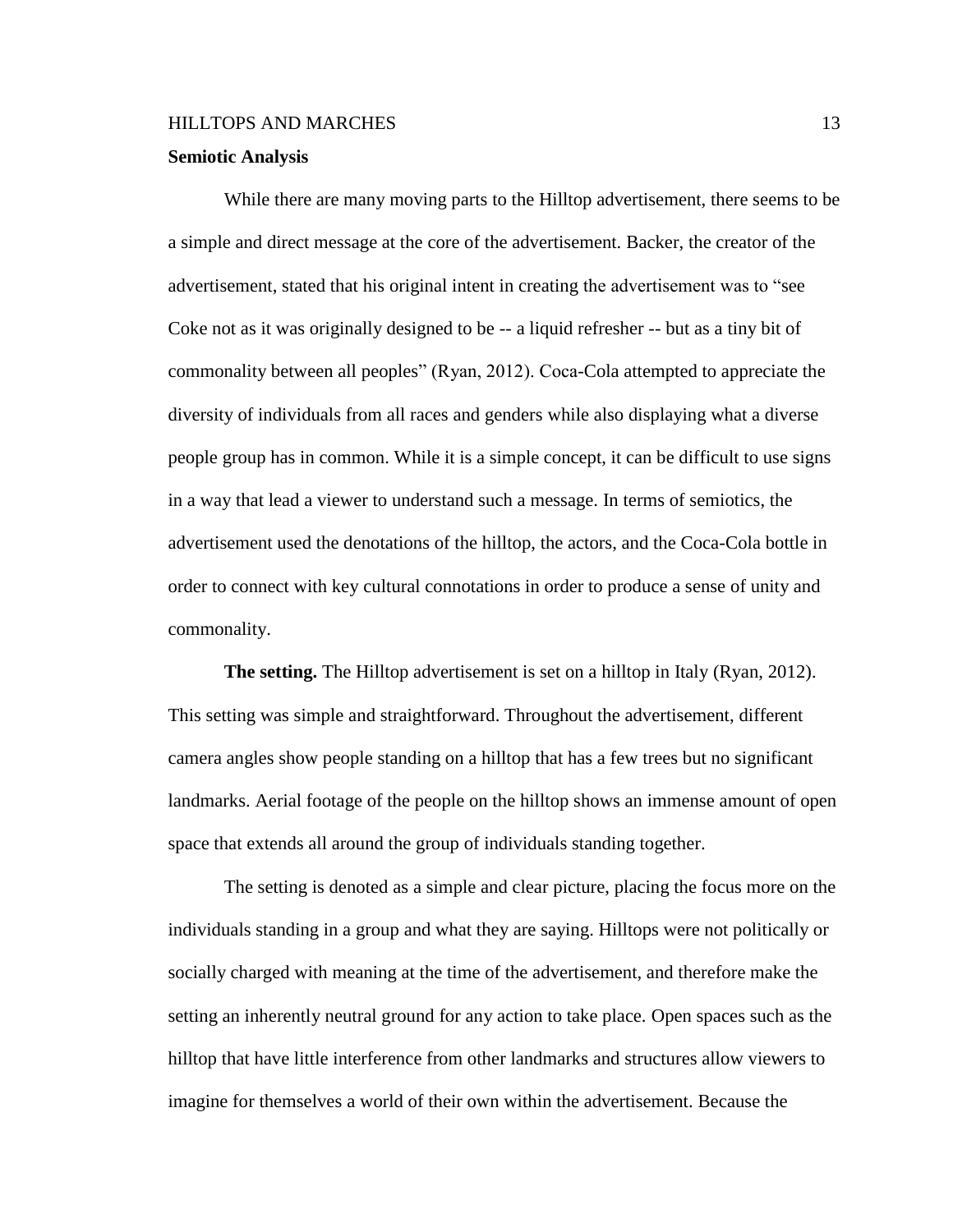#### **Semiotic Analysis**

While there are many moving parts to the Hilltop advertisement, there seems to be a simple and direct message at the core of the advertisement. Backer, the creator of the advertisement, stated that his original intent in creating the advertisement was to "see Coke not as it was originally designed to be -- a liquid refresher -- but as a tiny bit of commonality between all peoples" (Ryan, 2012). Coca-Cola attempted to appreciate the diversity of individuals from all races and genders while also displaying what a diverse people group has in common. While it is a simple concept, it can be difficult to use signs in a way that lead a viewer to understand such a message. In terms of semiotics, the advertisement used the denotations of the hilltop, the actors, and the Coca-Cola bottle in order to connect with key cultural connotations in order to produce a sense of unity and commonality.

**The setting.** The Hilltop advertisement is set on a hilltop in Italy (Ryan, 2012). This setting was simple and straightforward. Throughout the advertisement, different camera angles show people standing on a hilltop that has a few trees but no significant landmarks. Aerial footage of the people on the hilltop shows an immense amount of open space that extends all around the group of individuals standing together.

The setting is denoted as a simple and clear picture, placing the focus more on the individuals standing in a group and what they are saying. Hilltops were not politically or socially charged with meaning at the time of the advertisement, and therefore make the setting an inherently neutral ground for any action to take place. Open spaces such as the hilltop that have little interference from other landmarks and structures allow viewers to imagine for themselves a world of their own within the advertisement. Because the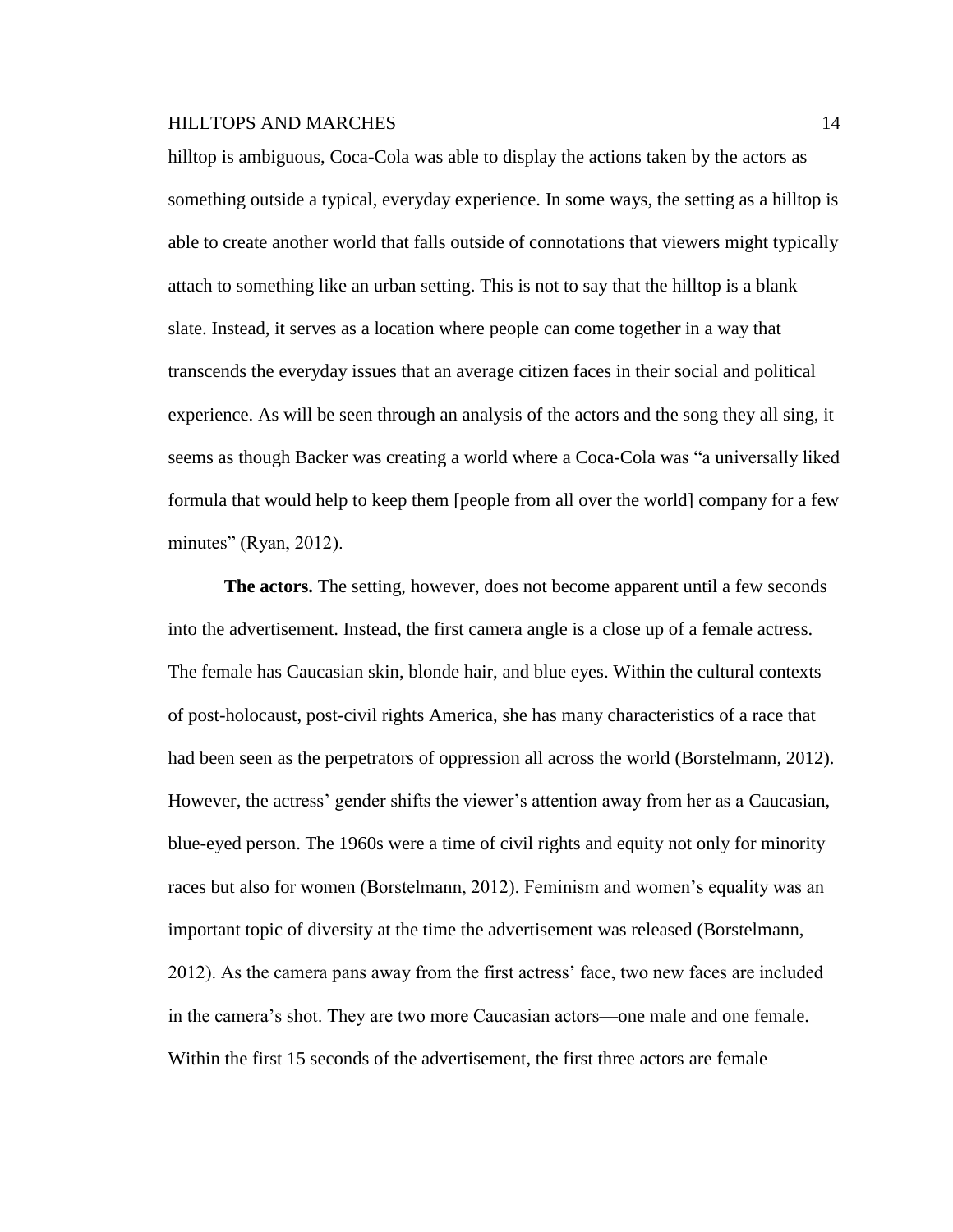hilltop is ambiguous, Coca-Cola was able to display the actions taken by the actors as something outside a typical, everyday experience. In some ways, the setting as a hilltop is able to create another world that falls outside of connotations that viewers might typically attach to something like an urban setting. This is not to say that the hilltop is a blank slate. Instead, it serves as a location where people can come together in a way that transcends the everyday issues that an average citizen faces in their social and political experience. As will be seen through an analysis of the actors and the song they all sing, it seems as though Backer was creating a world where a Coca-Cola was "a universally liked formula that would help to keep them [people from all over the world] company for a few minutes" (Ryan, 2012).

**The actors.** The setting, however, does not become apparent until a few seconds into the advertisement. Instead, the first camera angle is a close up of a female actress. The female has Caucasian skin, blonde hair, and blue eyes. Within the cultural contexts of post-holocaust, post-civil rights America, she has many characteristics of a race that had been seen as the perpetrators of oppression all across the world (Borstelmann, 2012). However, the actress' gender shifts the viewer's attention away from her as a Caucasian, blue-eyed person. The 1960s were a time of civil rights and equity not only for minority races but also for women (Borstelmann, 2012). Feminism and women's equality was an important topic of diversity at the time the advertisement was released (Borstelmann, 2012). As the camera pans away from the first actress' face, two new faces are included in the camera's shot. They are two more Caucasian actors—one male and one female. Within the first 15 seconds of the advertisement, the first three actors are female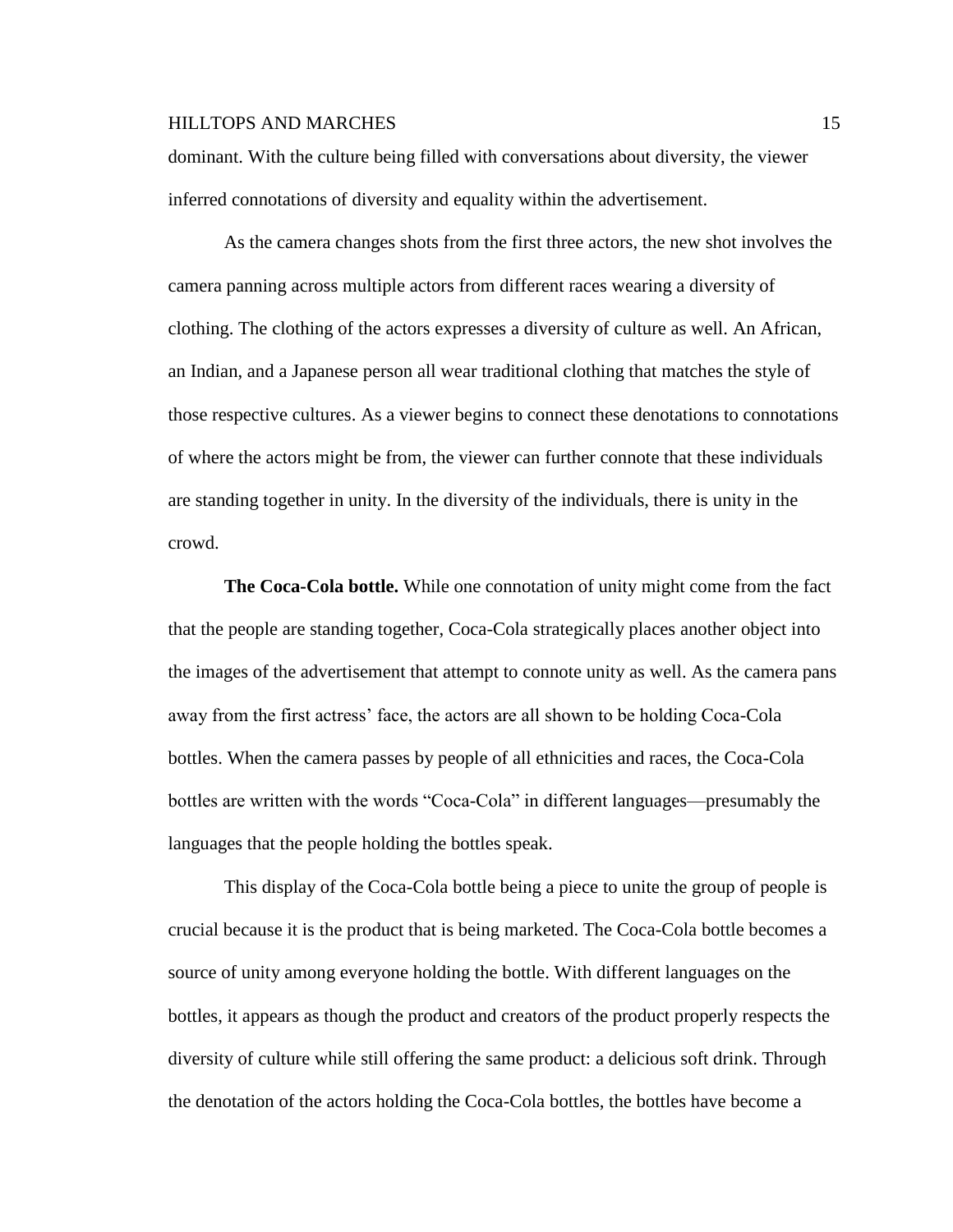dominant. With the culture being filled with conversations about diversity, the viewer inferred connotations of diversity and equality within the advertisement.

As the camera changes shots from the first three actors, the new shot involves the camera panning across multiple actors from different races wearing a diversity of clothing. The clothing of the actors expresses a diversity of culture as well. An African, an Indian, and a Japanese person all wear traditional clothing that matches the style of those respective cultures. As a viewer begins to connect these denotations to connotations of where the actors might be from, the viewer can further connote that these individuals are standing together in unity. In the diversity of the individuals, there is unity in the crowd.

**The Coca-Cola bottle.** While one connotation of unity might come from the fact that the people are standing together, Coca-Cola strategically places another object into the images of the advertisement that attempt to connote unity as well. As the camera pans away from the first actress' face, the actors are all shown to be holding Coca-Cola bottles. When the camera passes by people of all ethnicities and races, the Coca-Cola bottles are written with the words "Coca-Cola" in different languages—presumably the languages that the people holding the bottles speak.

This display of the Coca-Cola bottle being a piece to unite the group of people is crucial because it is the product that is being marketed. The Coca-Cola bottle becomes a source of unity among everyone holding the bottle. With different languages on the bottles, it appears as though the product and creators of the product properly respects the diversity of culture while still offering the same product: a delicious soft drink. Through the denotation of the actors holding the Coca-Cola bottles, the bottles have become a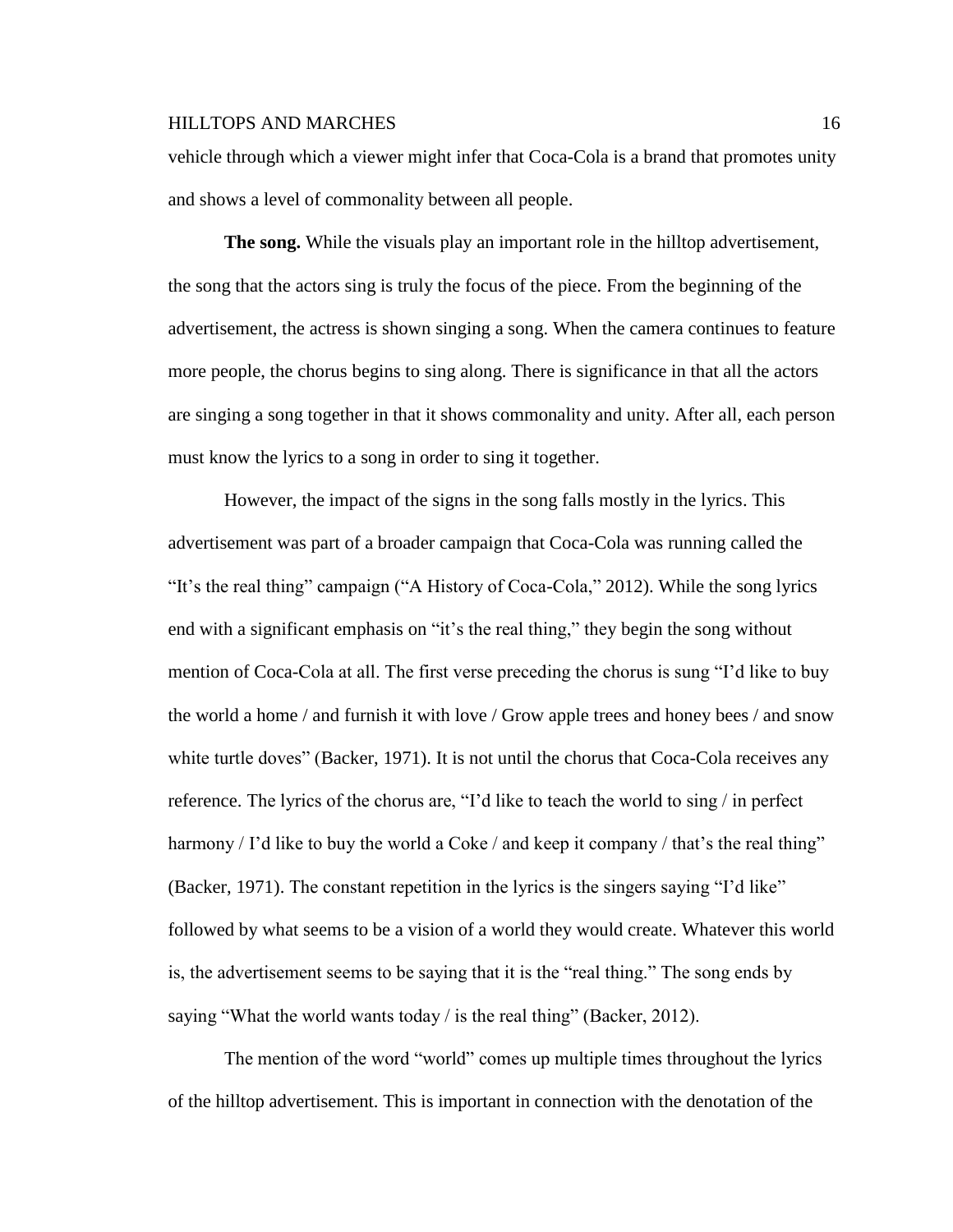vehicle through which a viewer might infer that Coca-Cola is a brand that promotes unity and shows a level of commonality between all people.

**The song.** While the visuals play an important role in the hilltop advertisement, the song that the actors sing is truly the focus of the piece. From the beginning of the advertisement, the actress is shown singing a song. When the camera continues to feature more people, the chorus begins to sing along. There is significance in that all the actors are singing a song together in that it shows commonality and unity. After all, each person must know the lyrics to a song in order to sing it together.

However, the impact of the signs in the song falls mostly in the lyrics. This advertisement was part of a broader campaign that Coca-Cola was running called the "It's the real thing" campaign ("A History of Coca-Cola," 2012). While the song lyrics end with a significant emphasis on "it's the real thing," they begin the song without mention of Coca-Cola at all. The first verse preceding the chorus is sung "I'd like to buy the world a home / and furnish it with love / Grow apple trees and honey bees / and snow white turtle doves" (Backer, 1971). It is not until the chorus that Coca-Cola receives any reference. The lyrics of the chorus are, "I'd like to teach the world to sing / in perfect harmony / I'd like to buy the world a Coke / and keep it company / that's the real thing" (Backer, 1971). The constant repetition in the lyrics is the singers saying "I'd like" followed by what seems to be a vision of a world they would create. Whatever this world is, the advertisement seems to be saying that it is the "real thing." The song ends by saying "What the world wants today / is the real thing" (Backer, 2012).

The mention of the word "world" comes up multiple times throughout the lyrics of the hilltop advertisement. This is important in connection with the denotation of the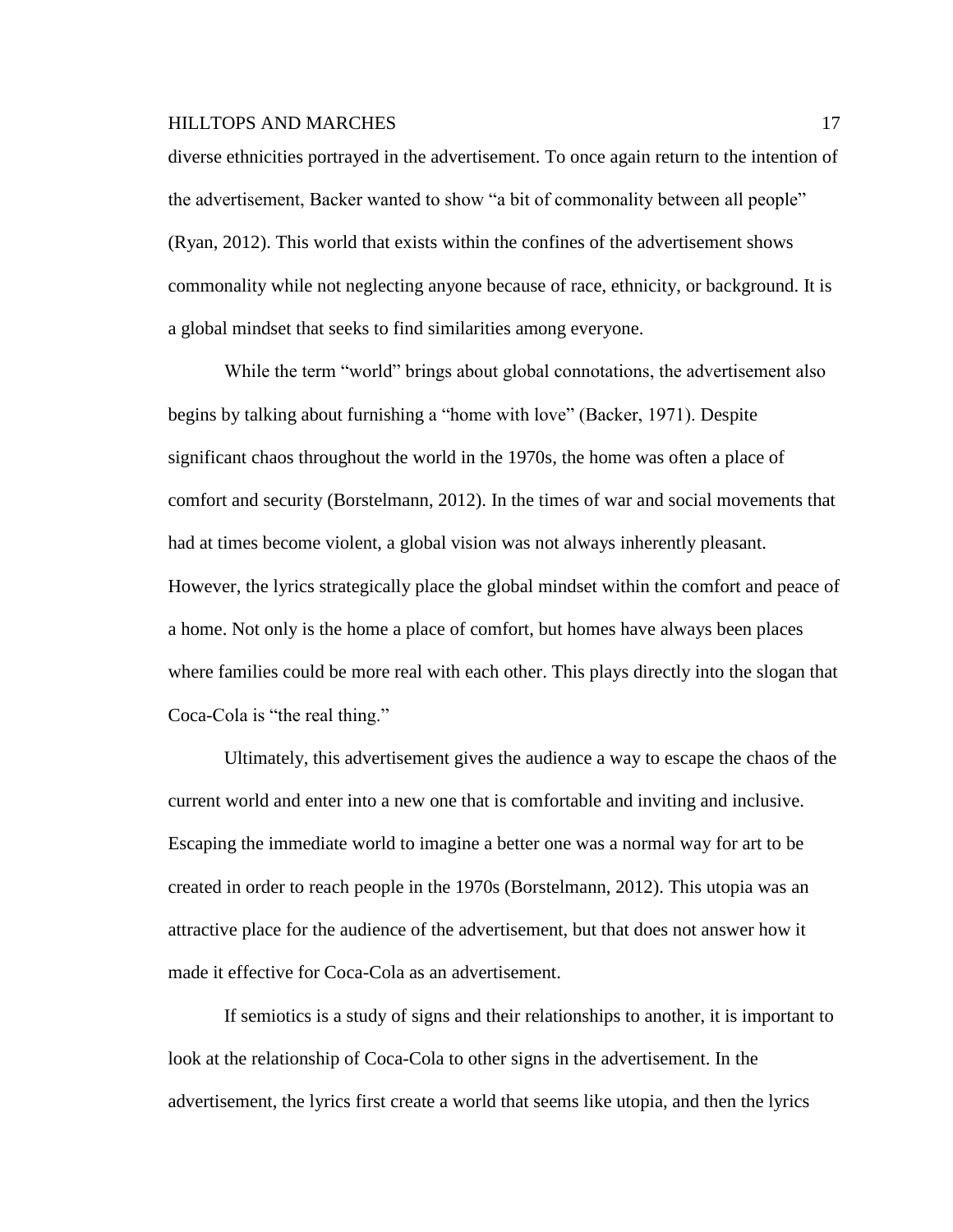diverse ethnicities portrayed in the advertisement. To once again return to the intention of the advertisement, Backer wanted to show "a bit of commonality between all people" (Ryan, 2012). This world that exists within the confines of the advertisement shows commonality while not neglecting anyone because of race, ethnicity, or background. It is a global mindset that seeks to find similarities among everyone.

While the term "world" brings about global connotations, the advertisement also begins by talking about furnishing a "home with love" (Backer, 1971). Despite significant chaos throughout the world in the 1970s, the home was often a place of comfort and security (Borstelmann, 2012). In the times of war and social movements that had at times become violent, a global vision was not always inherently pleasant. However, the lyrics strategically place the global mindset within the comfort and peace of a home. Not only is the home a place of comfort, but homes have always been places where families could be more real with each other. This plays directly into the slogan that Coca-Cola is "the real thing."

Ultimately, this advertisement gives the audience a way to escape the chaos of the current world and enter into a new one that is comfortable and inviting and inclusive. Escaping the immediate world to imagine a better one was a normal way for art to be created in order to reach people in the 1970s (Borstelmann, 2012). This utopia was an attractive place for the audience of the advertisement, but that does not answer how it made it effective for Coca-Cola as an advertisement.

If semiotics is a study of signs and their relationships to another, it is important to look at the relationship of Coca-Cola to other signs in the advertisement. In the advertisement, the lyrics first create a world that seems like utopia, and then the lyrics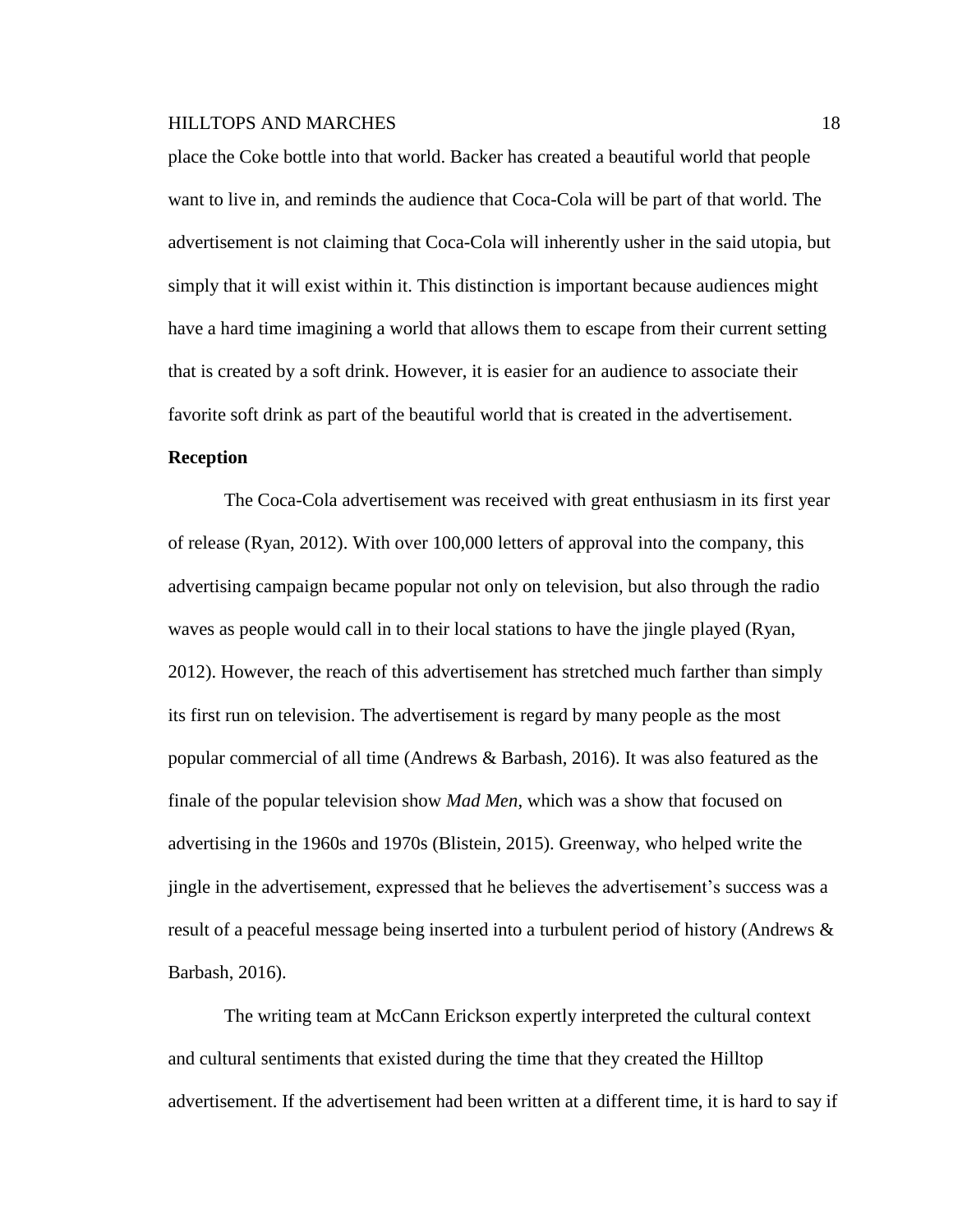place the Coke bottle into that world. Backer has created a beautiful world that people want to live in, and reminds the audience that Coca-Cola will be part of that world. The advertisement is not claiming that Coca-Cola will inherently usher in the said utopia, but simply that it will exist within it. This distinction is important because audiences might have a hard time imagining a world that allows them to escape from their current setting that is created by a soft drink. However, it is easier for an audience to associate their favorite soft drink as part of the beautiful world that is created in the advertisement.

#### **Reception**

The Coca-Cola advertisement was received with great enthusiasm in its first year of release (Ryan, 2012). With over 100,000 letters of approval into the company, this advertising campaign became popular not only on television, but also through the radio waves as people would call in to their local stations to have the jingle played (Ryan, 2012). However, the reach of this advertisement has stretched much farther than simply its first run on television. The advertisement is regard by many people as the most popular commercial of all time (Andrews & Barbash, 2016). It was also featured as the finale of the popular television show *Mad Men*, which was a show that focused on advertising in the 1960s and 1970s (Blistein, 2015). Greenway, who helped write the jingle in the advertisement, expressed that he believes the advertisement's success was a result of a peaceful message being inserted into a turbulent period of history (Andrews & Barbash, 2016).

The writing team at McCann Erickson expertly interpreted the cultural context and cultural sentiments that existed during the time that they created the Hilltop advertisement. If the advertisement had been written at a different time, it is hard to say if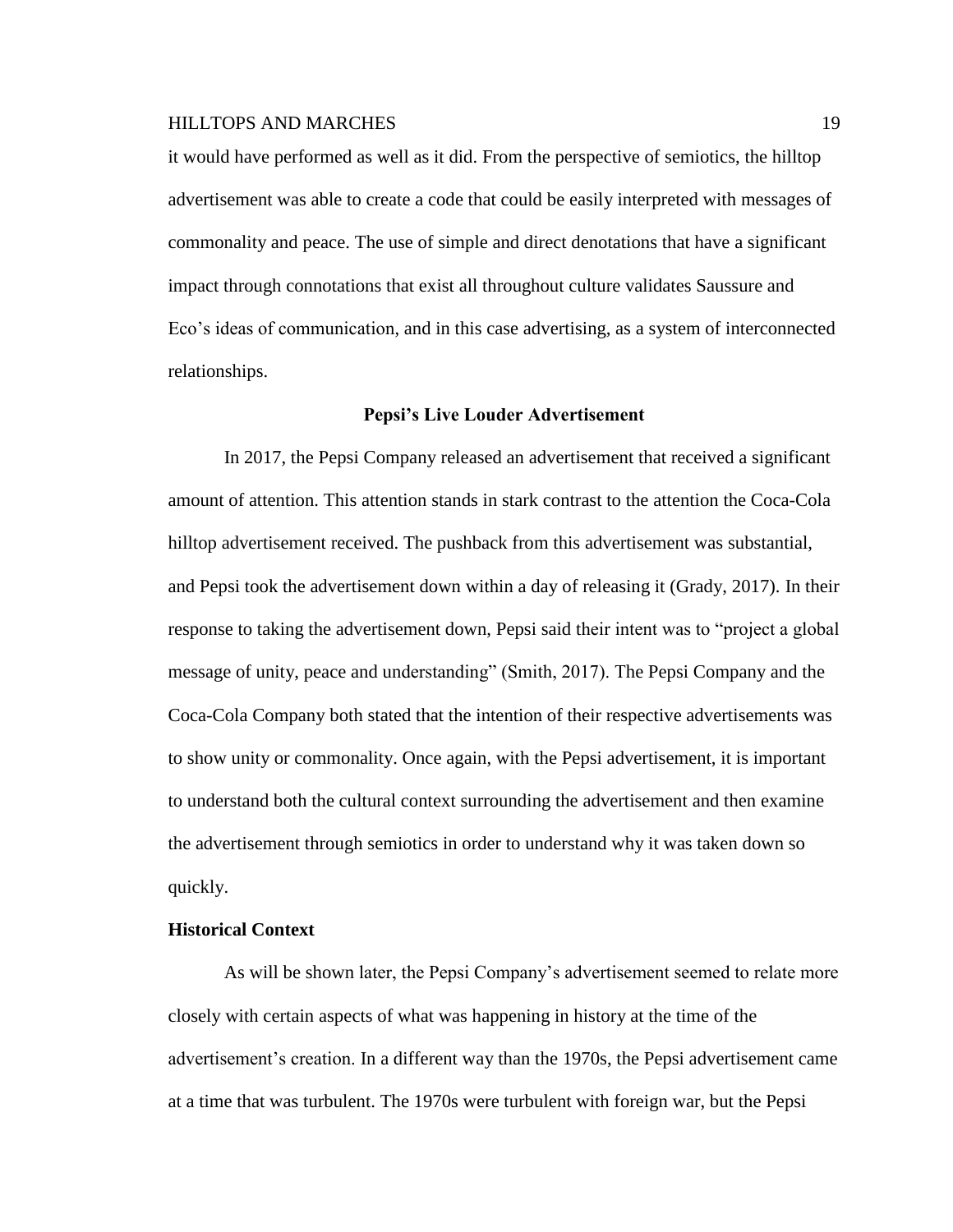it would have performed as well as it did. From the perspective of semiotics, the hilltop advertisement was able to create a code that could be easily interpreted with messages of commonality and peace. The use of simple and direct denotations that have a significant impact through connotations that exist all throughout culture validates Saussure and Eco's ideas of communication, and in this case advertising, as a system of interconnected relationships.

#### **Pepsi's Live Louder Advertisement**

In 2017, the Pepsi Company released an advertisement that received a significant amount of attention. This attention stands in stark contrast to the attention the Coca-Cola hilltop advertisement received. The pushback from this advertisement was substantial, and Pepsi took the advertisement down within a day of releasing it (Grady, 2017). In their response to taking the advertisement down, Pepsi said their intent was to "project a global message of unity, peace and understanding" (Smith, 2017). The Pepsi Company and the Coca-Cola Company both stated that the intention of their respective advertisements was to show unity or commonality. Once again, with the Pepsi advertisement, it is important to understand both the cultural context surrounding the advertisement and then examine the advertisement through semiotics in order to understand why it was taken down so quickly.

### **Historical Context**

As will be shown later, the Pepsi Company's advertisement seemed to relate more closely with certain aspects of what was happening in history at the time of the advertisement's creation. In a different way than the 1970s, the Pepsi advertisement came at a time that was turbulent. The 1970s were turbulent with foreign war, but the Pepsi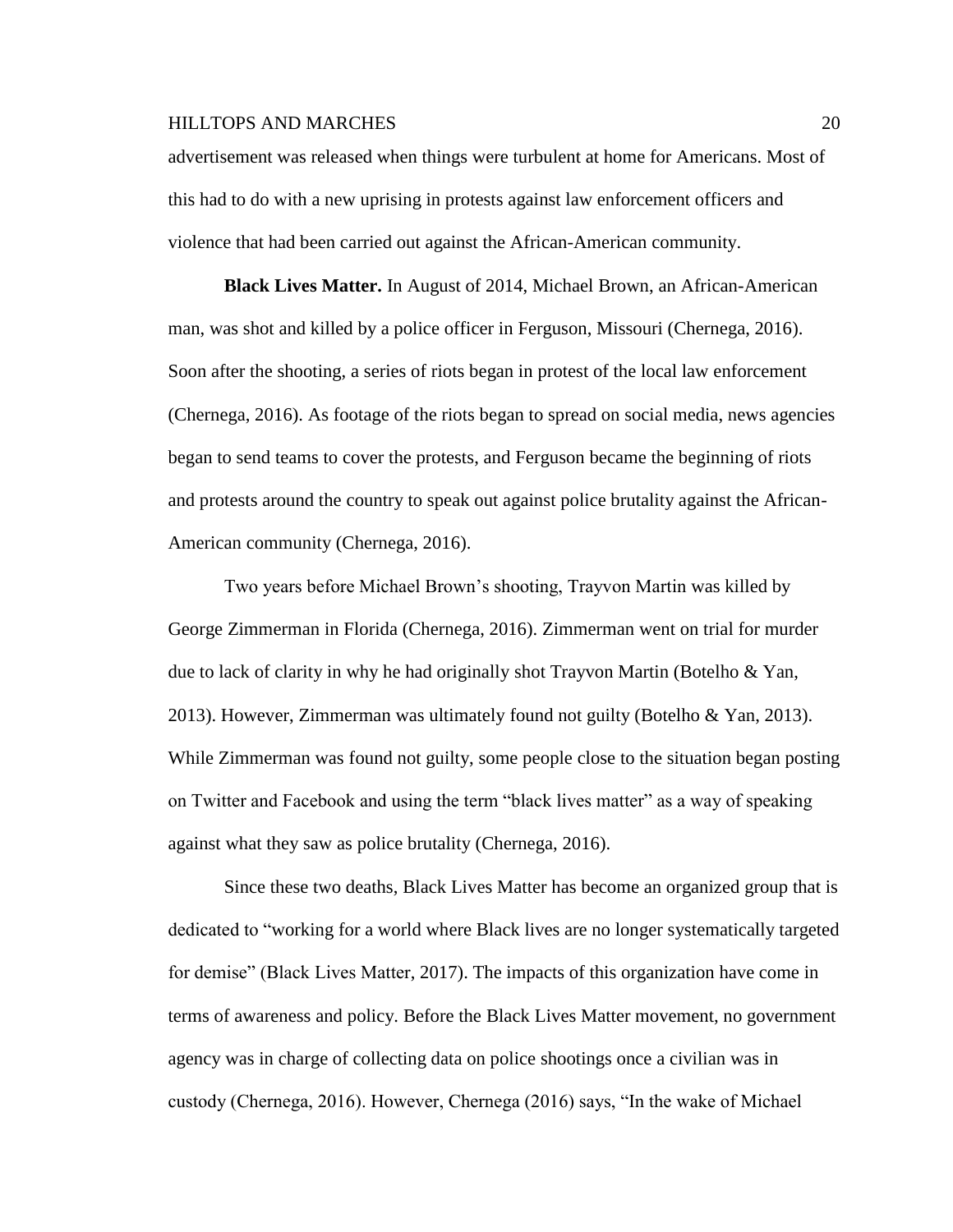advertisement was released when things were turbulent at home for Americans. Most of this had to do with a new uprising in protests against law enforcement officers and violence that had been carried out against the African-American community.

**Black Lives Matter.** In August of 2014, Michael Brown, an African-American man, was shot and killed by a police officer in Ferguson, Missouri (Chernega, 2016). Soon after the shooting, a series of riots began in protest of the local law enforcement (Chernega, 2016). As footage of the riots began to spread on social media, news agencies began to send teams to cover the protests, and Ferguson became the beginning of riots and protests around the country to speak out against police brutality against the African-American community (Chernega, 2016).

Two years before Michael Brown's shooting, Trayvon Martin was killed by George Zimmerman in Florida (Chernega, 2016). Zimmerman went on trial for murder due to lack of clarity in why he had originally shot Trayvon Martin (Botelho & Yan, 2013). However, Zimmerman was ultimately found not guilty (Botelho & Yan, 2013). While Zimmerman was found not guilty, some people close to the situation began posting on Twitter and Facebook and using the term "black lives matter" as a way of speaking against what they saw as police brutality (Chernega, 2016).

Since these two deaths, Black Lives Matter has become an organized group that is dedicated to "working for a world where Black lives are no longer systematically targeted for demise" (Black Lives Matter, 2017). The impacts of this organization have come in terms of awareness and policy. Before the Black Lives Matter movement, no government agency was in charge of collecting data on police shootings once a civilian was in custody (Chernega, 2016). However, Chernega (2016) says, "In the wake of Michael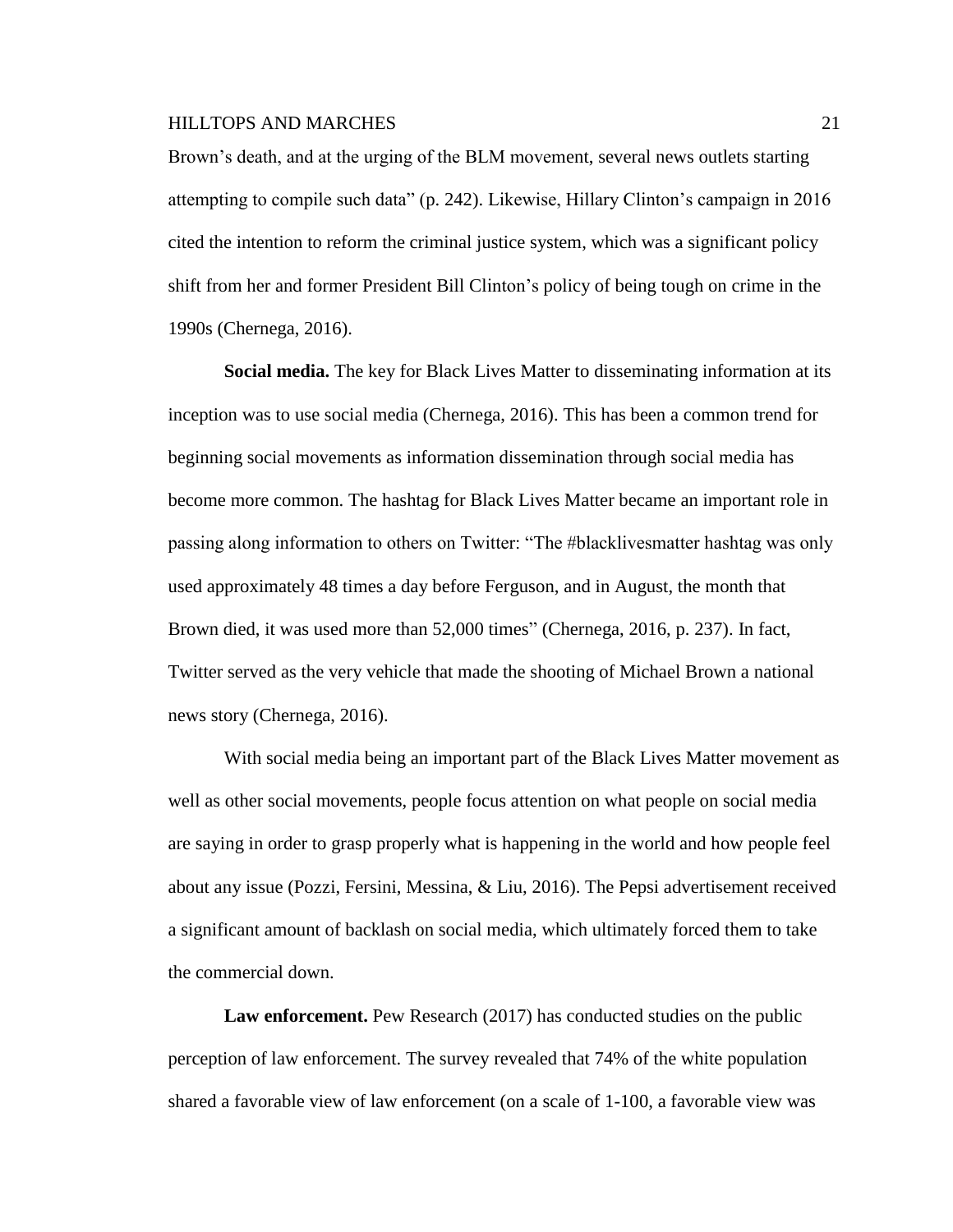Brown's death, and at the urging of the BLM movement, several news outlets starting attempting to compile such data" (p. 242). Likewise, Hillary Clinton's campaign in 2016 cited the intention to reform the criminal justice system, which was a significant policy shift from her and former President Bill Clinton's policy of being tough on crime in the 1990s (Chernega, 2016).

**Social media.** The key for Black Lives Matter to disseminating information at its inception was to use social media (Chernega, 2016). This has been a common trend for beginning social movements as information dissemination through social media has become more common. The hashtag for Black Lives Matter became an important role in passing along information to others on Twitter: "The #blacklivesmatter hashtag was only used approximately 48 times a day before Ferguson, and in August, the month that Brown died, it was used more than 52,000 times" (Chernega, 2016, p. 237). In fact, Twitter served as the very vehicle that made the shooting of Michael Brown a national news story (Chernega, 2016).

With social media being an important part of the Black Lives Matter movement as well as other social movements, people focus attention on what people on social media are saying in order to grasp properly what is happening in the world and how people feel about any issue (Pozzi, Fersini, Messina, & Liu, 2016). The Pepsi advertisement received a significant amount of backlash on social media, which ultimately forced them to take the commercial down.

Law enforcement. Pew Research (2017) has conducted studies on the public perception of law enforcement. The survey revealed that 74% of the white population shared a favorable view of law enforcement (on a scale of 1-100, a favorable view was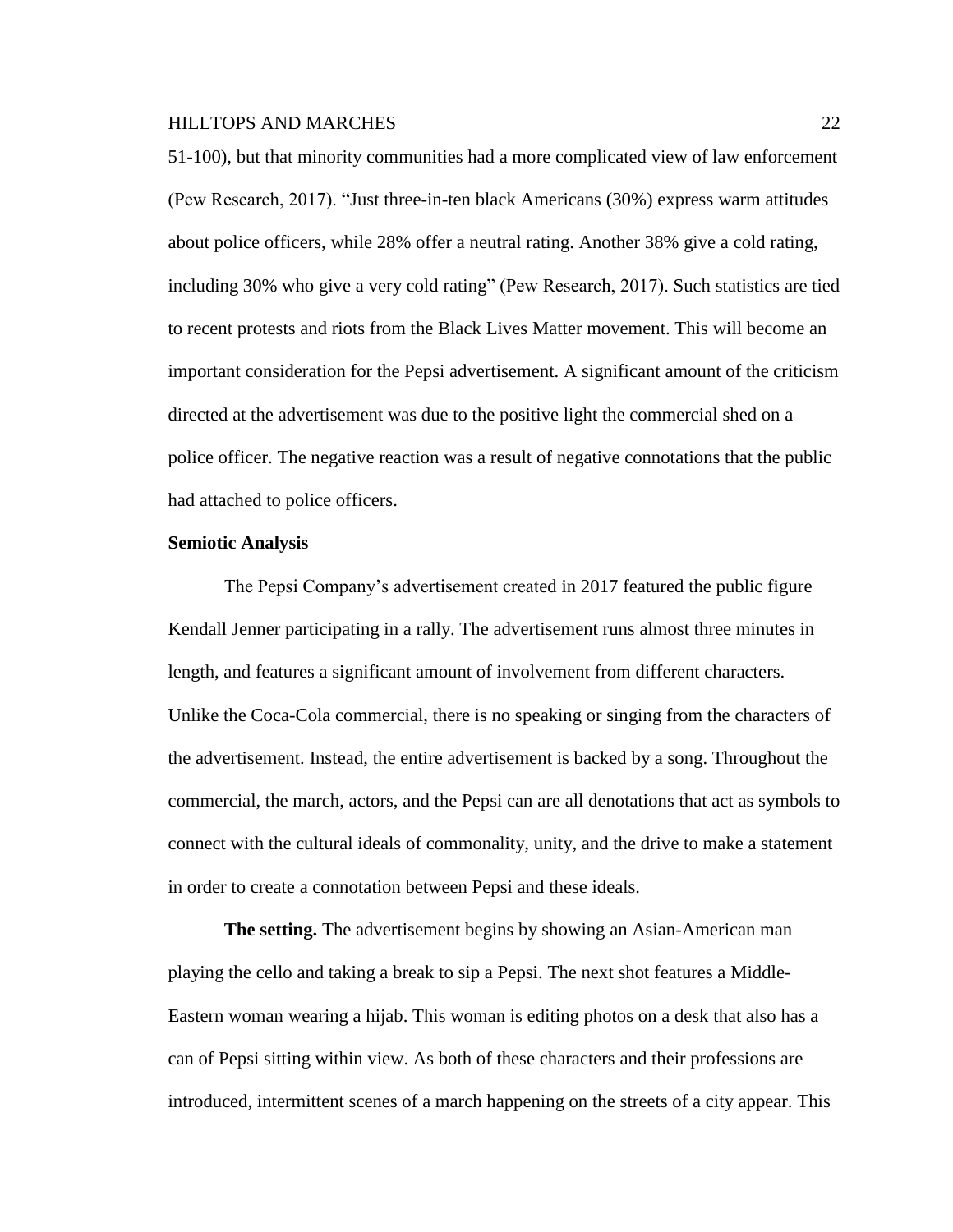51-100), but that minority communities had a more complicated view of law enforcement (Pew Research, 2017). "Just three-in-ten black Americans (30%) express warm attitudes about police officers, while 28% offer a neutral rating. Another 38% give a cold rating, including 30% who give a very cold rating" (Pew Research, 2017). Such statistics are tied to recent protests and riots from the Black Lives Matter movement. This will become an important consideration for the Pepsi advertisement. A significant amount of the criticism directed at the advertisement was due to the positive light the commercial shed on a police officer. The negative reaction was a result of negative connotations that the public had attached to police officers.

# **Semiotic Analysis**

The Pepsi Company's advertisement created in 2017 featured the public figure Kendall Jenner participating in a rally. The advertisement runs almost three minutes in length, and features a significant amount of involvement from different characters. Unlike the Coca-Cola commercial, there is no speaking or singing from the characters of the advertisement. Instead, the entire advertisement is backed by a song. Throughout the commercial, the march, actors, and the Pepsi can are all denotations that act as symbols to connect with the cultural ideals of commonality, unity, and the drive to make a statement in order to create a connotation between Pepsi and these ideals.

**The setting.** The advertisement begins by showing an Asian-American man playing the cello and taking a break to sip a Pepsi. The next shot features a Middle-Eastern woman wearing a hijab. This woman is editing photos on a desk that also has a can of Pepsi sitting within view. As both of these characters and their professions are introduced, intermittent scenes of a march happening on the streets of a city appear. This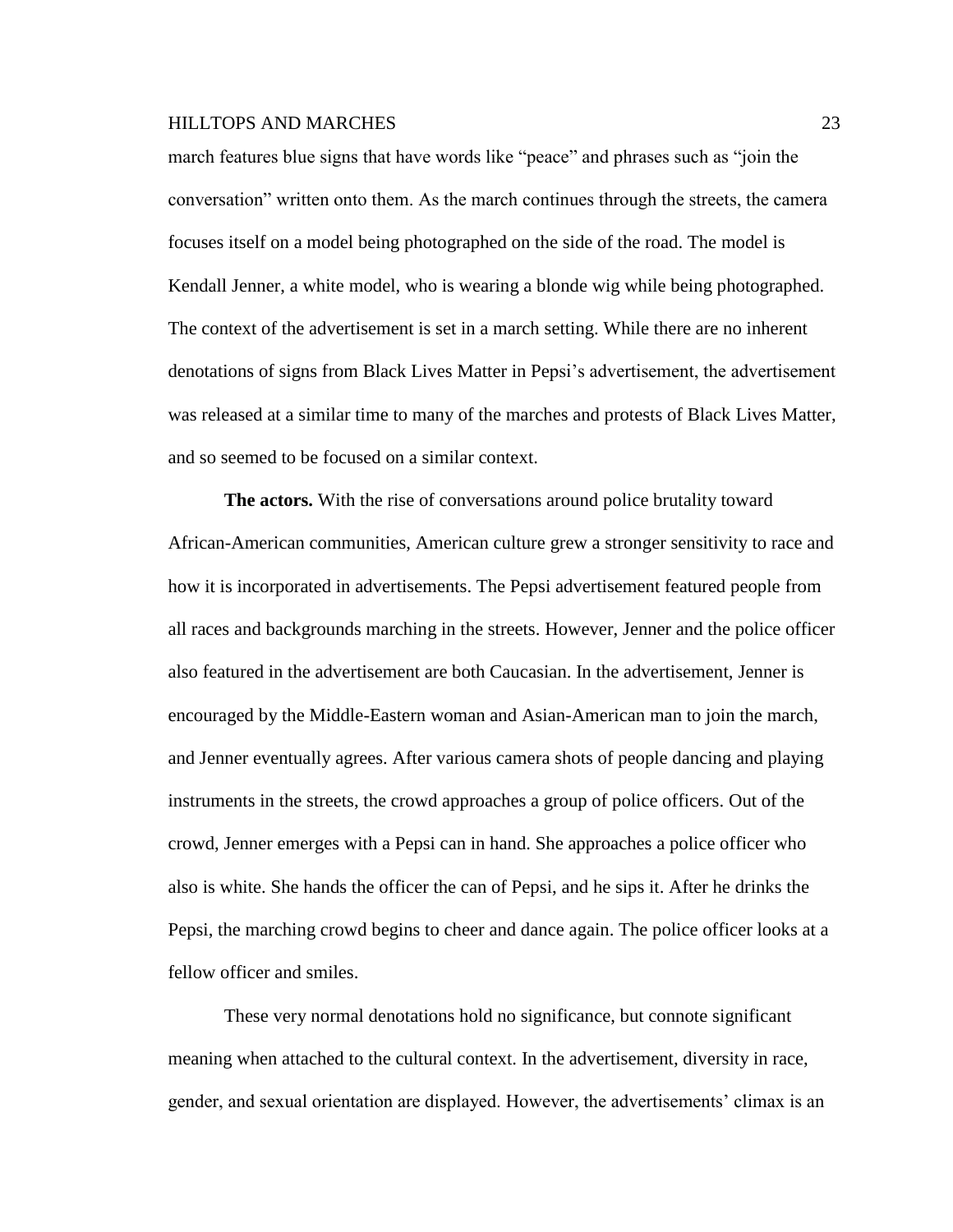march features blue signs that have words like "peace" and phrases such as "join the conversation" written onto them. As the march continues through the streets, the camera focuses itself on a model being photographed on the side of the road. The model is Kendall Jenner, a white model, who is wearing a blonde wig while being photographed. The context of the advertisement is set in a march setting. While there are no inherent denotations of signs from Black Lives Matter in Pepsi's advertisement, the advertisement was released at a similar time to many of the marches and protests of Black Lives Matter, and so seemed to be focused on a similar context.

**The actors.** With the rise of conversations around police brutality toward African-American communities, American culture grew a stronger sensitivity to race and how it is incorporated in advertisements. The Pepsi advertisement featured people from all races and backgrounds marching in the streets. However, Jenner and the police officer also featured in the advertisement are both Caucasian. In the advertisement, Jenner is encouraged by the Middle-Eastern woman and Asian-American man to join the march, and Jenner eventually agrees. After various camera shots of people dancing and playing instruments in the streets, the crowd approaches a group of police officers. Out of the crowd, Jenner emerges with a Pepsi can in hand. She approaches a police officer who also is white. She hands the officer the can of Pepsi, and he sips it. After he drinks the Pepsi, the marching crowd begins to cheer and dance again. The police officer looks at a fellow officer and smiles.

These very normal denotations hold no significance, but connote significant meaning when attached to the cultural context. In the advertisement, diversity in race, gender, and sexual orientation are displayed. However, the advertisements' climax is an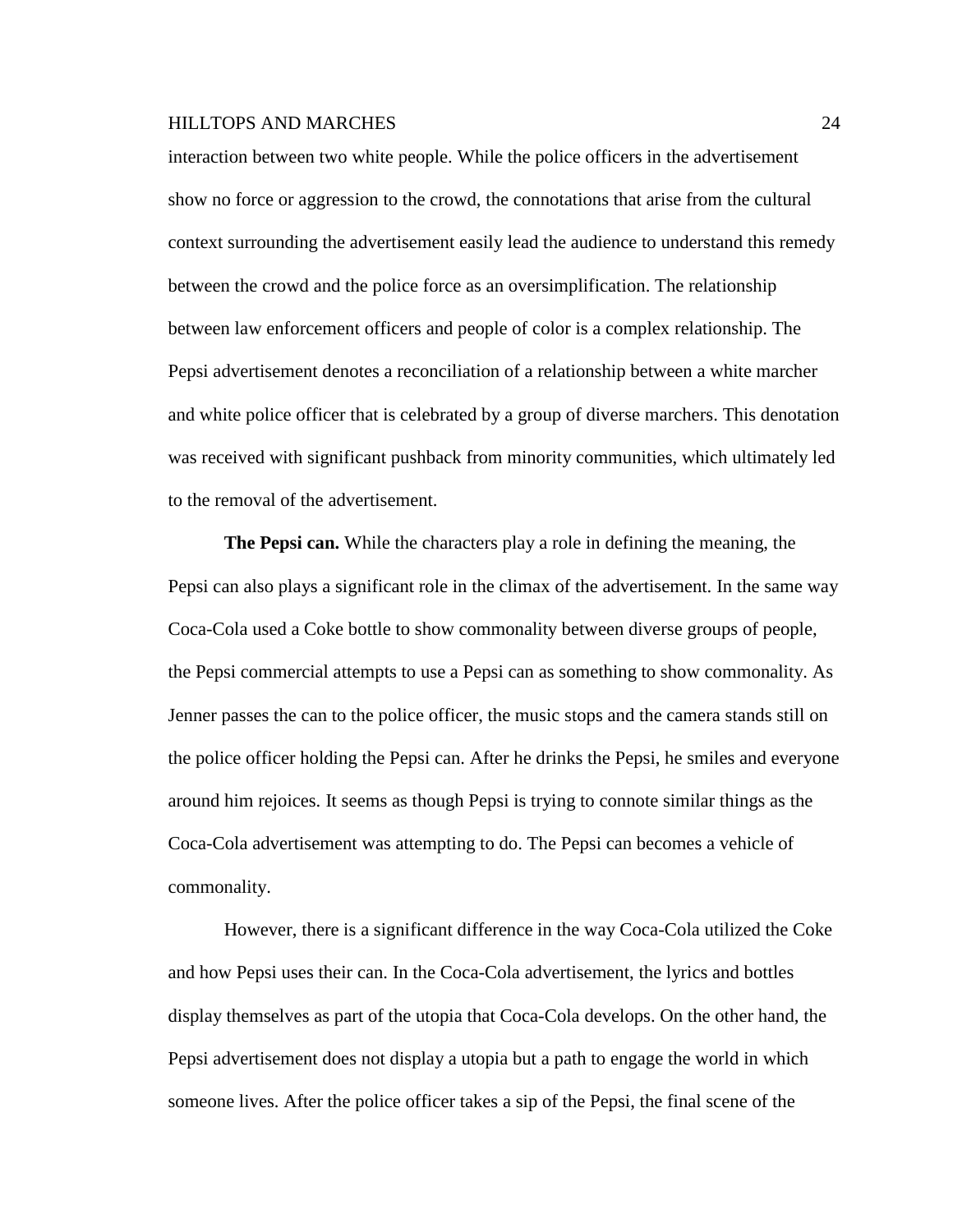interaction between two white people. While the police officers in the advertisement show no force or aggression to the crowd, the connotations that arise from the cultural context surrounding the advertisement easily lead the audience to understand this remedy between the crowd and the police force as an oversimplification. The relationship between law enforcement officers and people of color is a complex relationship. The Pepsi advertisement denotes a reconciliation of a relationship between a white marcher and white police officer that is celebrated by a group of diverse marchers. This denotation was received with significant pushback from minority communities, which ultimately led to the removal of the advertisement.

**The Pepsi can.** While the characters play a role in defining the meaning, the Pepsi can also plays a significant role in the climax of the advertisement. In the same way Coca-Cola used a Coke bottle to show commonality between diverse groups of people, the Pepsi commercial attempts to use a Pepsi can as something to show commonality. As Jenner passes the can to the police officer, the music stops and the camera stands still on the police officer holding the Pepsi can. After he drinks the Pepsi, he smiles and everyone around him rejoices. It seems as though Pepsi is trying to connote similar things as the Coca-Cola advertisement was attempting to do. The Pepsi can becomes a vehicle of commonality.

However, there is a significant difference in the way Coca-Cola utilized the Coke and how Pepsi uses their can. In the Coca-Cola advertisement, the lyrics and bottles display themselves as part of the utopia that Coca-Cola develops. On the other hand, the Pepsi advertisement does not display a utopia but a path to engage the world in which someone lives. After the police officer takes a sip of the Pepsi, the final scene of the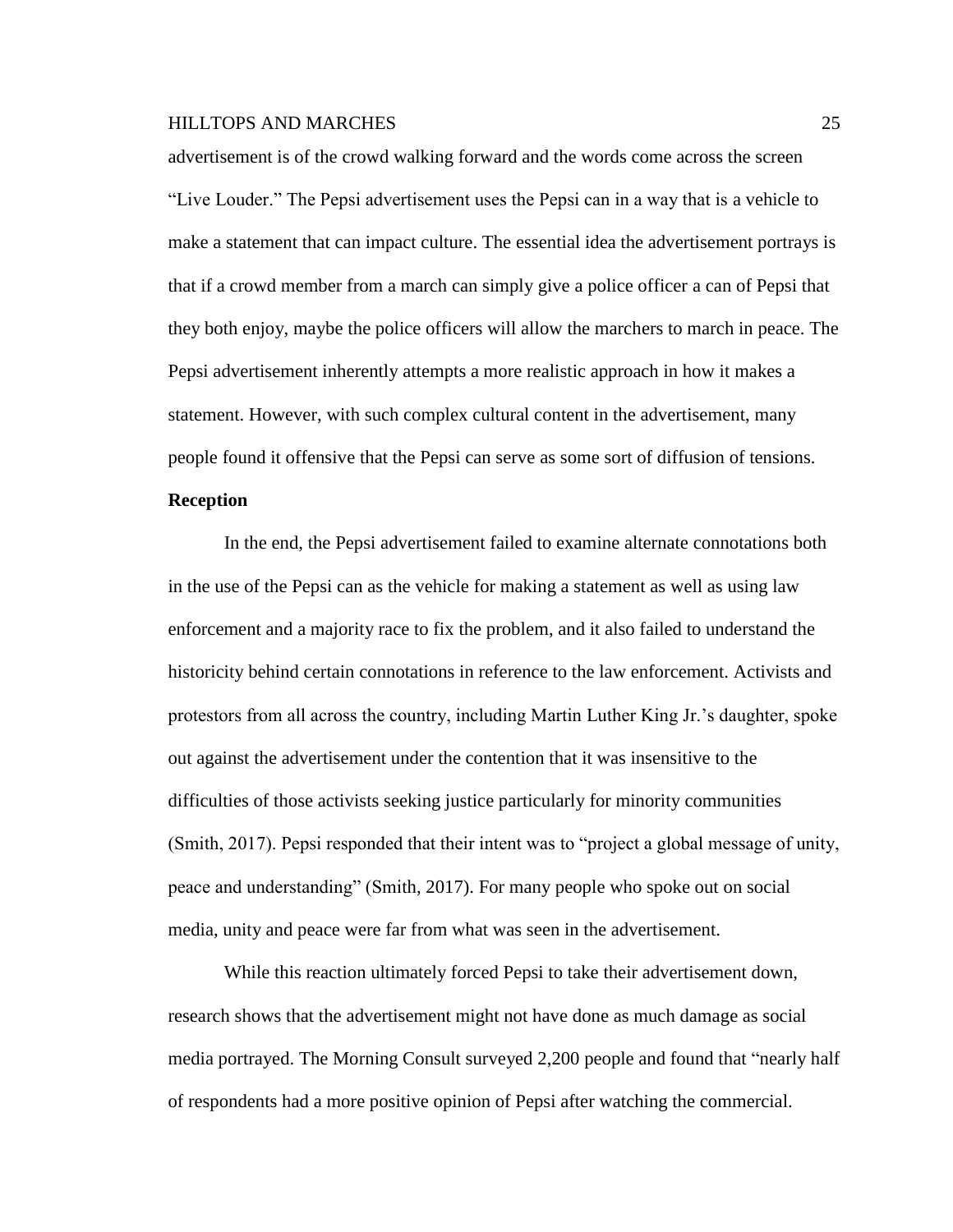advertisement is of the crowd walking forward and the words come across the screen "Live Louder." The Pepsi advertisement uses the Pepsi can in a way that is a vehicle to make a statement that can impact culture. The essential idea the advertisement portrays is that if a crowd member from a march can simply give a police officer a can of Pepsi that they both enjoy, maybe the police officers will allow the marchers to march in peace. The Pepsi advertisement inherently attempts a more realistic approach in how it makes a statement. However, with such complex cultural content in the advertisement, many people found it offensive that the Pepsi can serve as some sort of diffusion of tensions.

## **Reception**

In the end, the Pepsi advertisement failed to examine alternate connotations both in the use of the Pepsi can as the vehicle for making a statement as well as using law enforcement and a majority race to fix the problem, and it also failed to understand the historicity behind certain connotations in reference to the law enforcement. Activists and protestors from all across the country, including Martin Luther King Jr.'s daughter, spoke out against the advertisement under the contention that it was insensitive to the difficulties of those activists seeking justice particularly for minority communities (Smith, 2017). Pepsi responded that their intent was to "project a global message of unity, peace and understanding" (Smith, 2017). For many people who spoke out on social media, unity and peace were far from what was seen in the advertisement.

While this reaction ultimately forced Pepsi to take their advertisement down, research shows that the advertisement might not have done as much damage as social media portrayed. The Morning Consult surveyed 2,200 people and found that "nearly half of respondents had a more positive opinion of Pepsi after watching the commercial.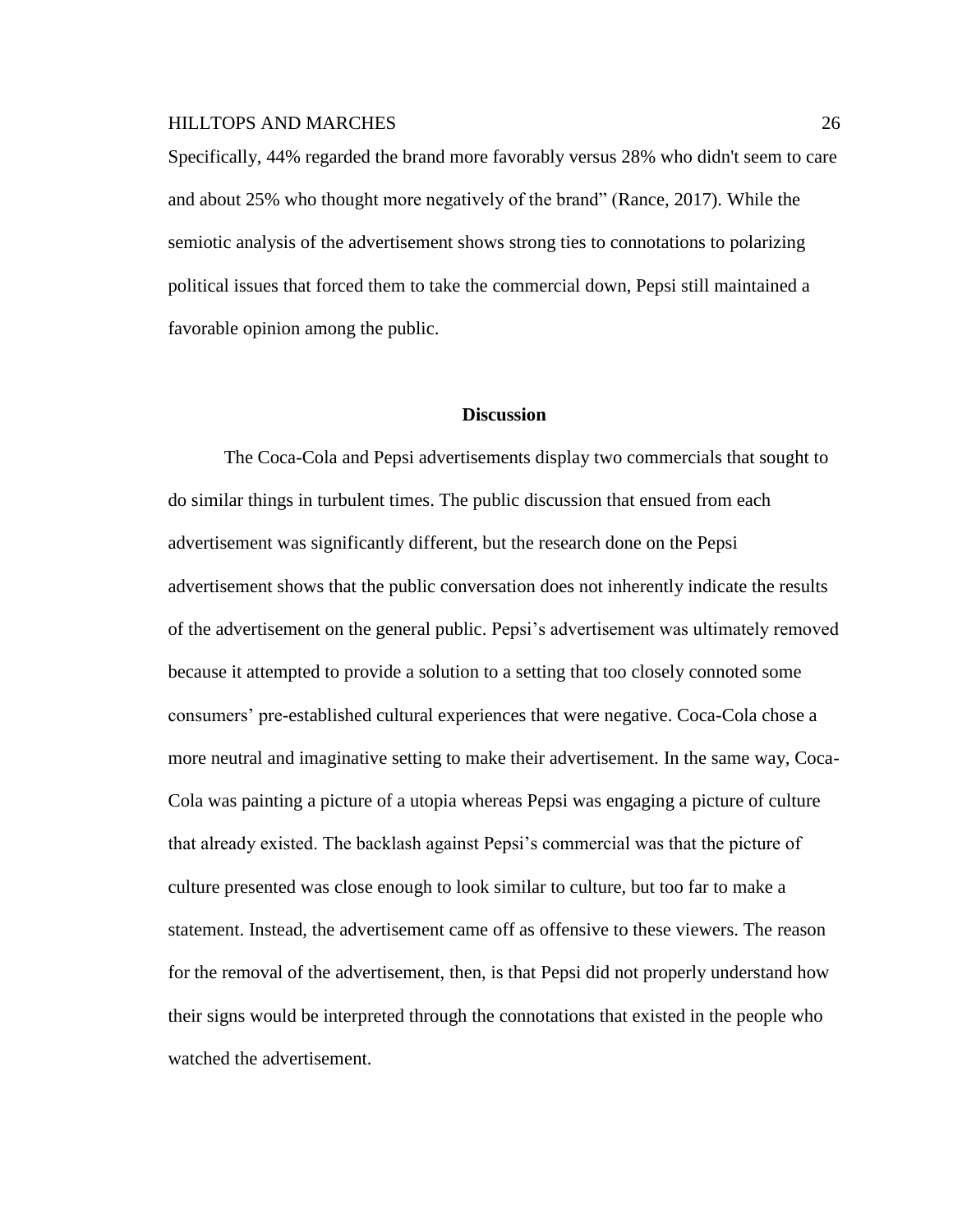Specifically, 44% regarded the brand more favorably versus 28% who didn't seem to care and about 25% who thought more negatively of the brand" (Rance, 2017). While the semiotic analysis of the advertisement shows strong ties to connotations to polarizing political issues that forced them to take the commercial down, Pepsi still maintained a favorable opinion among the public.

#### **Discussion**

The Coca-Cola and Pepsi advertisements display two commercials that sought to do similar things in turbulent times. The public discussion that ensued from each advertisement was significantly different, but the research done on the Pepsi advertisement shows that the public conversation does not inherently indicate the results of the advertisement on the general public. Pepsi's advertisement was ultimately removed because it attempted to provide a solution to a setting that too closely connoted some consumers' pre-established cultural experiences that were negative. Coca-Cola chose a more neutral and imaginative setting to make their advertisement. In the same way, Coca-Cola was painting a picture of a utopia whereas Pepsi was engaging a picture of culture that already existed. The backlash against Pepsi's commercial was that the picture of culture presented was close enough to look similar to culture, but too far to make a statement. Instead, the advertisement came off as offensive to these viewers. The reason for the removal of the advertisement, then, is that Pepsi did not properly understand how their signs would be interpreted through the connotations that existed in the people who watched the advertisement.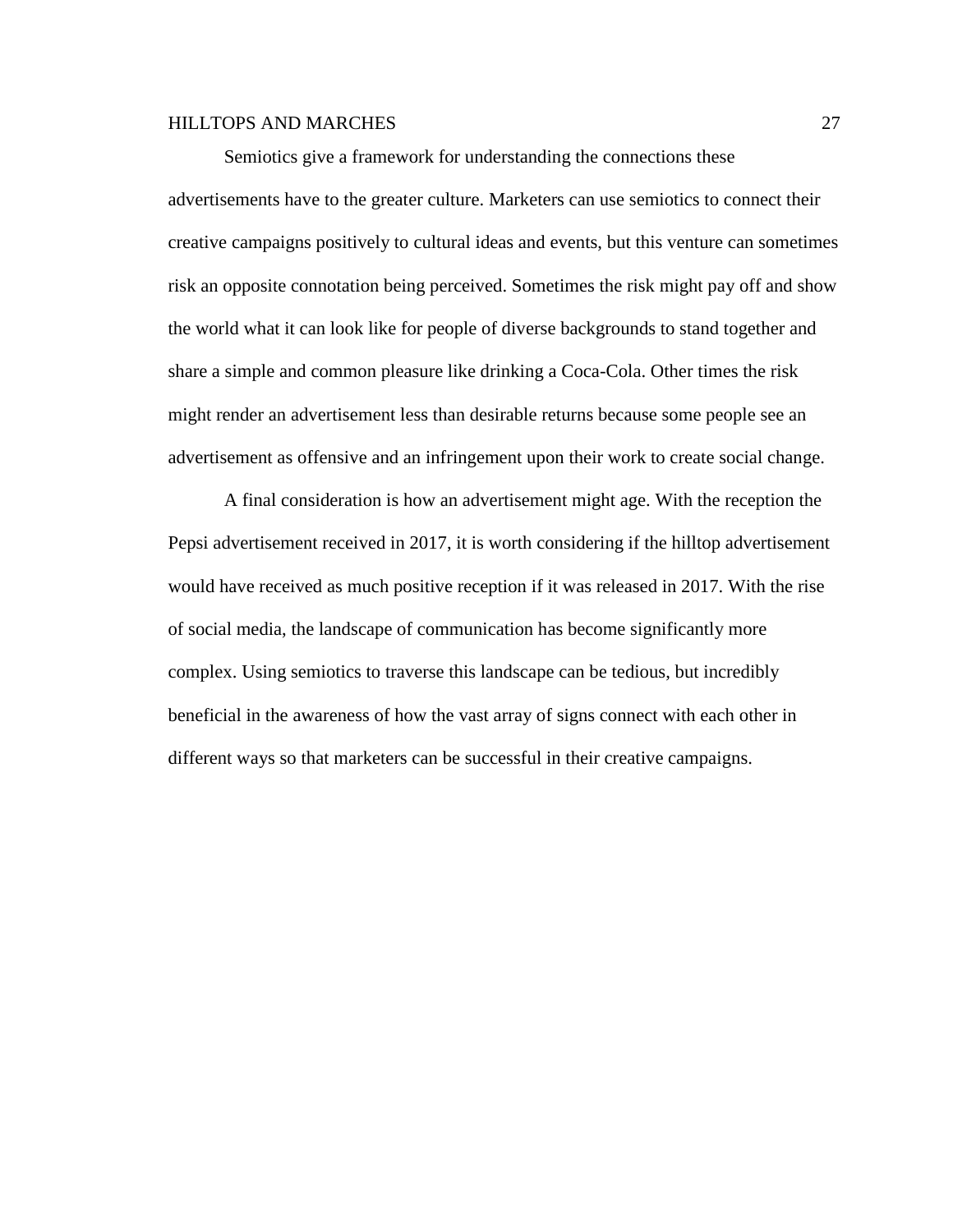Semiotics give a framework for understanding the connections these advertisements have to the greater culture. Marketers can use semiotics to connect their creative campaigns positively to cultural ideas and events, but this venture can sometimes risk an opposite connotation being perceived. Sometimes the risk might pay off and show the world what it can look like for people of diverse backgrounds to stand together and share a simple and common pleasure like drinking a Coca-Cola. Other times the risk might render an advertisement less than desirable returns because some people see an advertisement as offensive and an infringement upon their work to create social change.

A final consideration is how an advertisement might age. With the reception the Pepsi advertisement received in 2017, it is worth considering if the hilltop advertisement would have received as much positive reception if it was released in 2017. With the rise of social media, the landscape of communication has become significantly more complex. Using semiotics to traverse this landscape can be tedious, but incredibly beneficial in the awareness of how the vast array of signs connect with each other in different ways so that marketers can be successful in their creative campaigns.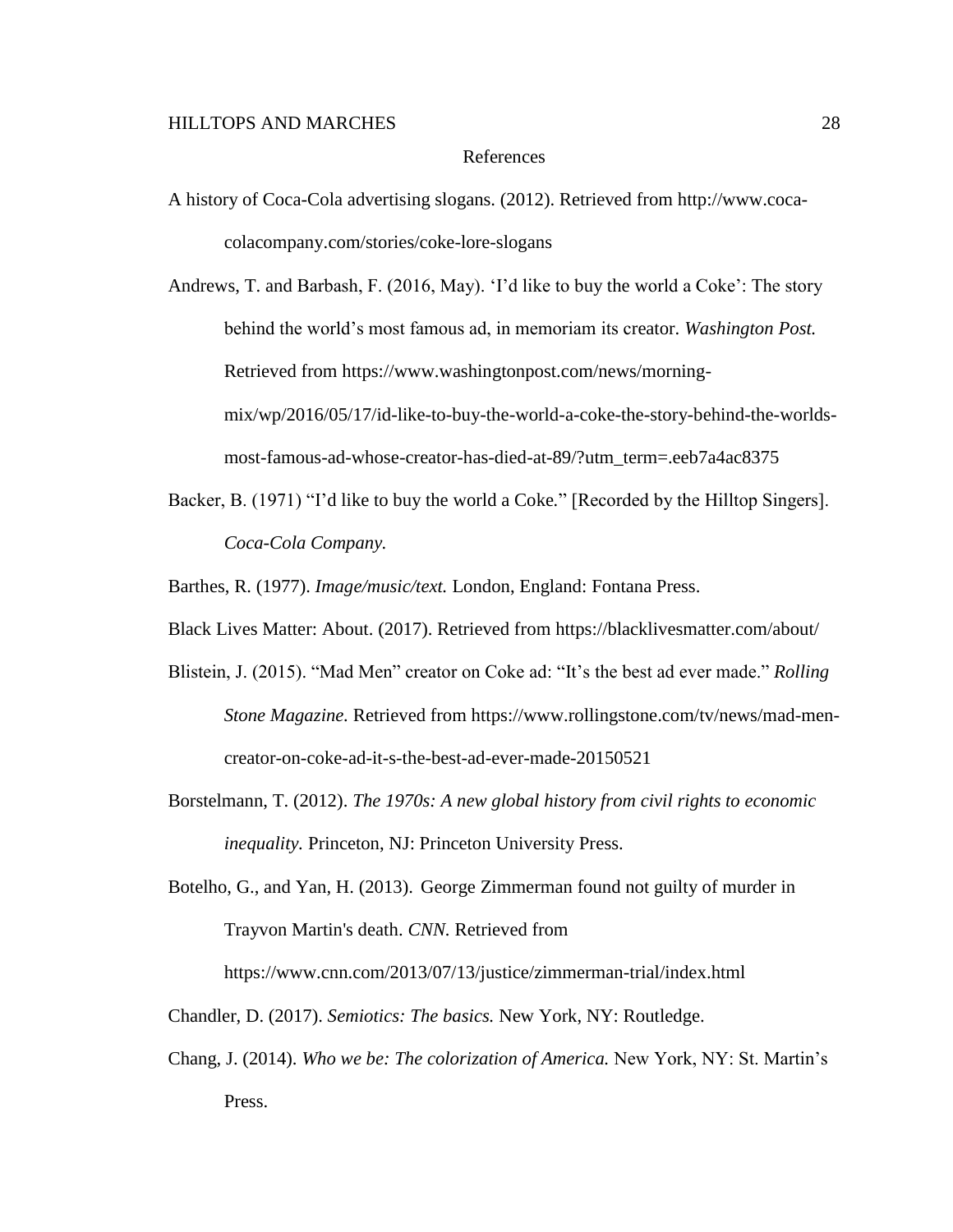# References

- A history of Coca-Cola advertising slogans. (2012). Retrieved from http://www.cocacolacompany.com/stories/coke-lore-slogans
- Andrews, T. and Barbash, F. (2016, May). 'I'd like to buy the world a Coke': The story behind the world's most famous ad, in memoriam its creator. *Washington Post.*  Retrieved from https://www.washingtonpost.com/news/morningmix/wp/2016/05/17/id-like-to-buy-the-world-a-coke-the-story-behind-the-worldsmost-famous-ad-whose-creator-has-died-at-89/?utm\_term=.eeb7a4ac8375
- Backer, B. (1971) "I'd like to buy the world a Coke*.*" [Recorded by the Hilltop Singers]. *Coca-Cola Company.*
- Barthes, R. (1977). *Image/music/text.* London, England: Fontana Press.
- Black Lives Matter: About. (2017). Retrieved from https://blacklivesmatter.com/about/
- Blistein, J. (2015). "Mad Men" creator on Coke ad: "It's the best ad ever made." *Rolling Stone Magazine.* Retrieved from https://www.rollingstone.com/tv/news/mad-mencreator-on-coke-ad-it-s-the-best-ad-ever-made-20150521
- Borstelmann, T. (2012). *The 1970s: A new global history from civil rights to economic inequality.* Princeton, NJ: Princeton University Press.
- Botelho, G., and Yan, H. (2013). George Zimmerman found not guilty of murder in Trayvon Martin's death. *CNN.* Retrieved from https://www.cnn.com/2013/07/13/justice/zimmerman-trial/index.html
	-
- Chandler, D. (2017). *Semiotics: The basics.* New York, NY: Routledge.
- Chang, J. (2014). *Who we be: The colorization of America.* New York, NY: St. Martin's Press.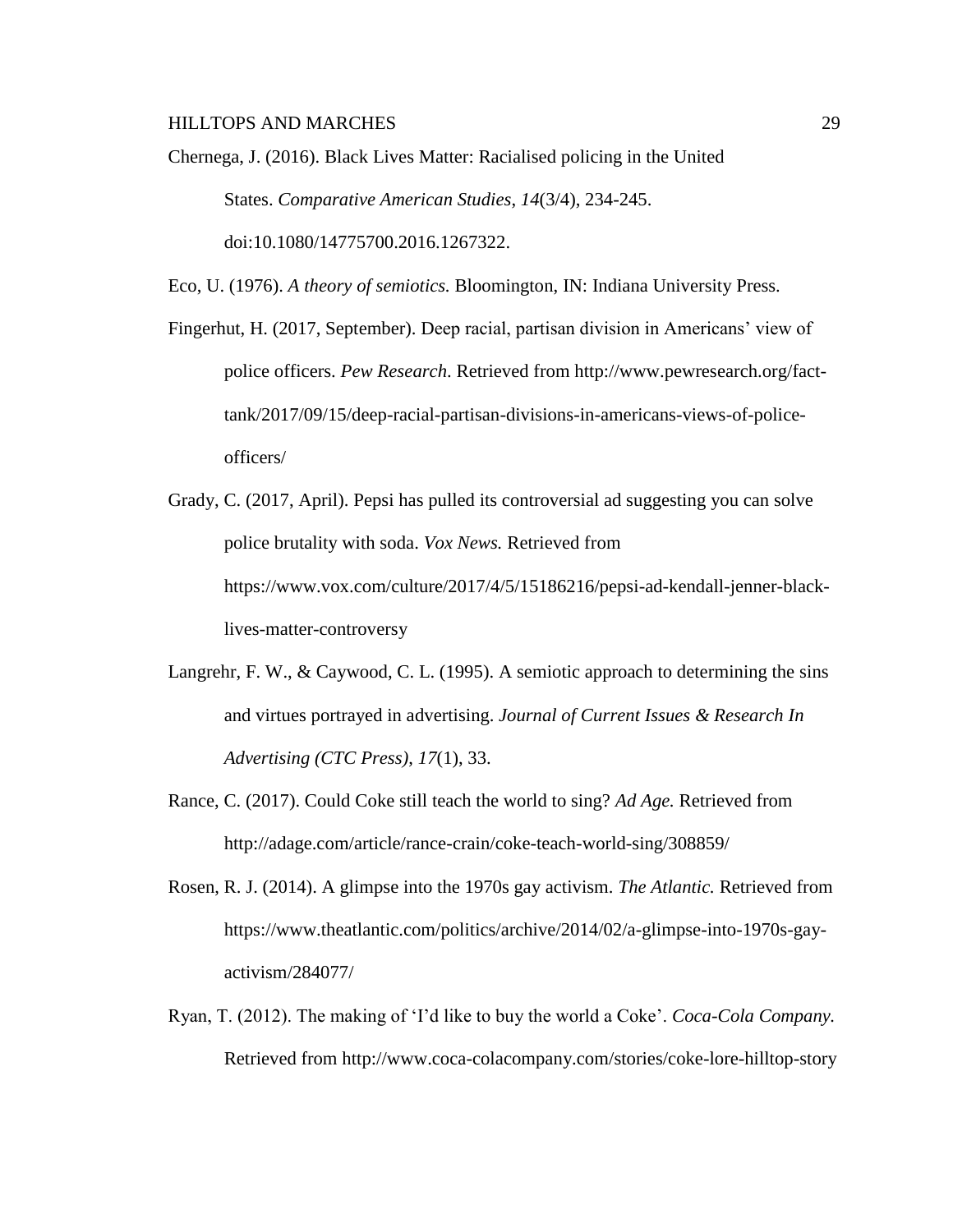Chernega, J. (2016). Black Lives Matter: Racialised policing in the United States. *Comparative American Studies*, *14*(3/4), 234-245. doi:10.1080/14775700.2016.1267322.

Eco, U. (1976). *A theory of semiotics.* Bloomington, IN: Indiana University Press.

- Fingerhut, H. (2017, September). Deep racial, partisan division in Americans' view of police officers. *Pew Research*. Retrieved from http://www.pewresearch.org/facttank/2017/09/15/deep-racial-partisan-divisions-in-americans-views-of-policeofficers/
- Grady, C. (2017, April). Pepsi has pulled its controversial ad suggesting you can solve police brutality with soda. *Vox News.* Retrieved from https://www.vox.com/culture/2017/4/5/15186216/pepsi-ad-kendall-jenner-blacklives-matter-controversy
- Langrehr, F. W., & Caywood, C. L. (1995). A semiotic approach to determining the sins and virtues portrayed in advertising. *Journal of Current Issues & Research In Advertising (CTC Press)*, *17*(1), 33.
- Rance, C. (2017). Could Coke still teach the world to sing? *Ad Age.* Retrieved from http://adage.com/article/rance-crain/coke-teach-world-sing/308859/
- Rosen, R. J. (2014). A glimpse into the 1970s gay activism. *The Atlantic.* Retrieved from https://www.theatlantic.com/politics/archive/2014/02/a-glimpse-into-1970s-gayactivism/284077/
- Ryan, T. (2012). The making of 'I'd like to buy the world a Coke'. *Coca-Cola Company.* Retrieved from http://www.coca-colacompany.com/stories/coke-lore-hilltop-story